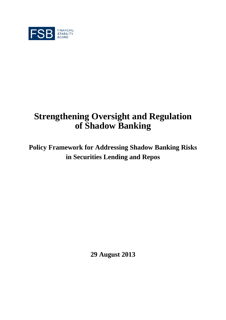

# **Strengthening Oversight and Regulation of Shadow Banking**

# **Policy Framework for Addressing Shadow Banking Risks in Securities Lending and Repos**

**29 August 2013**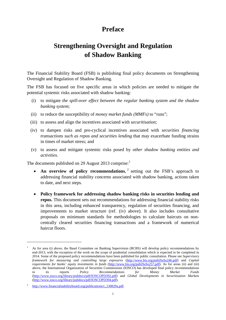## **Preface**

## **Strengthening Oversight and Regulation of Shadow Banking**

The Financial Stability Board (FSB) is publishing final policy documents on Strengthening Oversight and Regulation of Shadow Banking.

The FSB has focused on five specific areas in which policies are needed to mitigate the potential systemic risks associated with shadow banking:

- (i) to mitigate *the spill-over effect between the regular banking system and the shadow banking system*;
- (ii) to reduce the susceptibility of *money market funds (MMFs)* to "runs";
- (iii) to assess and align the incentives associated with *securitisation*;
- (iv) to dampen risks and pro-cyclical incentives associated with *securities financing transactions such as repos and securities lending* that may exacerbate funding strains in times of market stress; and
- (v) to assess and mitigate systemic risks posed by *other shadow banking entities and activities*.

The documents published on 29 August 20[1](#page-2-0)3 comprise: $<sup>1</sup>$ </sup>

- An overview of policy recommendations, <sup>[2](#page-2-1)</sup> setting out the FSB's approach to addressing financial stability concerns associated with shadow banking, actions taken to date, and next steps.
- **Policy framework for addressing shadow banking risks in securities lending and repos.** This document sets out recommendations for addressing financial stability risks in this area, including enhanced transparency, regulation of securities financing, and improvements to market structure (ref. (iv) above). It also includes consultative proposals on minimum standards for methodologies to calculate haircuts on noncentrally cleared securities financing transactions and a framework of numerical haircut floors.

<span id="page-2-0"></span><sup>1</sup> As for area (i) above, the Basel Committee on Banking Supervision (BCBS) will develop policy recommendations by end-2013, with the exception of the work on the scope of prudential consolidation which is expected to be completed in 2014. Some of the proposed policy recommendations have been published for public consultation. Please see *Supervisory framework for measuring and controlling large exposures* [\(http://www.bis.org/publ/bcbs246.pdf\)](http://www.bis.org/publ/bcbs246.pdf) and *Capital requirements for banks' equity investments in funds* [\(http://www.bis.org/publ/bcbs257.pdf\)](http://www.bis.org/publ/bcbs257.pdf). As for areas (ii) and (iii) above, the International Organization of Securities Commissions (IOSCO) has developed final policy recommendations in its reports *Policy Recommendations for Money Market Funds* [\(http://www.iosco.org/library/pubdocs/pdf/IOSCOPD392.pdf\)](http://www.iosco.org/library/pubdocs/pdf/IOSCOPD392.pdf) and *Global Developments in Securitisation Markets*  [\(http://www.iosco.org/library/pubdocs/pdf/IOSCOPD394.pdf\)](http://www.iosco.org/library/pubdocs/pdf/IOSCOPD394.pdf).

<span id="page-2-1"></span><sup>2</sup> [http://www.financialstabilityboard.org/publications/r\\_130829a.pdf.](http://www.financialstabilityboard.org/publications/r_130829a.pdf)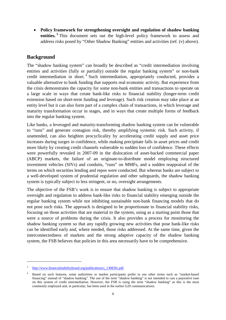• **Policy framework for strengthening oversight and regulation of shadow banking entities. [3](#page-3-0)** This document sets out the high-level policy framework to assess and address risks posed by "Other Shadow Banking" entities and activities (ref. (v) above).

## **Background**

The "shadow banking system" can broadly be described as "credit intermediation involving entities and activities (fully or partially) outside the regular banking system" or non-bank credit intermediation in short.<sup>[4](#page-3-1)</sup> Such intermediation, appropriately conducted, provides a valuable alternative to bank funding that supports real economic activity. But experience from the crisis demonstrates the capacity for some non-bank entities and transactions to operate on a large scale in ways that create bank-like risks to financial stability (longer-term credit extension based on short-term funding and leverage). Such risk creation may take place at an entity level but it can also form part of a complex chain of transactions, in which leverage and maturity transformation occur in stages, and in ways that create multiple forms of feedback into the regular banking system.

Like banks, a leveraged and maturity-transforming shadow banking system can be vulnerable to "runs" and generate contagion risk, thereby amplifying systemic risk. Such activity, if unattended, can also heighten procyclicality by accelerating credit supply and asset price increases during surges in confidence, while making precipitate falls in asset prices and credit more likely by creating credit channels vulnerable to sudden loss of confidence. These effects were powerfully revealed in 2007-09 in the dislocation of asset-backed commercial paper (ABCP) markets, the failure of an originate-to-distribute model employing structured investment vehicles (SIVs) and conduits, "runs" on MMFs, and a sudden reappraisal of the terms on which securities lending and repos were conducted. But whereas banks are subject to a well-developed system of prudential regulation and other safeguards, the shadow banking system is typically subject to less stringent, or no, oversight arrangements.

The objective of the FSB's work is to ensure that shadow banking is subject to appropriate oversight and regulation to address bank-like risks to financial stability emerging outside the regular banking system while not inhibiting sustainable non-bank financing models that do not pose such risks. The approach is designed to be proportionate to financial stability risks, focusing on those activities that are material to the system, using as a starting point those that were a source of problems during the crisis. It also provides a process for monitoring the shadow banking system so that any rapidly growing new activities that pose bank-like risks can be identified early and, where needed, those risks addressed. At the same time, given the interconnectedness of markets and the strong adaptive capacity of the shadow banking system, the FSB believes that policies in this area necessarily have to be comprehensive.

<span id="page-3-0"></span><sup>3</sup> [http://www.financialstabilityboard.org/publications/r\\_130829c.pdf.](http://www.financialstabilityboard.org/publications/r_130829c.pdf)

<span id="page-3-1"></span><sup>4</sup> Based on such features, some authorities or market participants prefer to use other terms such as "market-based financing" instead of "shadow banking". The use of the term "shadow banking" is not intended to cast a pejorative tone on this system of credit intermediation. However, the FSB is using the term "shadow banking" as this is the most commonly employed and, in particular, has been used in the earlier G20 communications.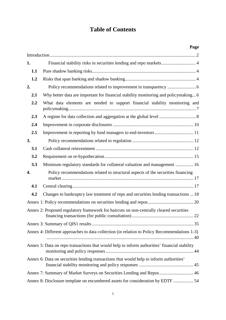## **Table of Contents**

|     | Page                                                                                          |
|-----|-----------------------------------------------------------------------------------------------|
|     |                                                                                               |
| 1.  | Financial stability risks in securities lending and repo markets 4                            |
| 1.1 |                                                                                               |
| 1.2 |                                                                                               |
| 2.  |                                                                                               |
| 2.1 | Why better data are important for financial stability monitoring and policymaking 6           |
| 2.2 | What data elements are needed to support financial stability monitoring and                   |
| 2.3 |                                                                                               |
| 2.4 |                                                                                               |
| 2.5 |                                                                                               |
| 3.  |                                                                                               |
| 3.1 |                                                                                               |
| 3.2 |                                                                                               |
| 3.3 | Minimum regulatory standards for collateral valuation and management  16                      |
| 4.  | Policy recommendations related to structural aspects of the securities financing              |
| 4.1 |                                                                                               |
| 4.2 | Changes to bankruptcy law treatment of repo and securities lending transactions  18           |
|     |                                                                                               |
|     | Annex 2: Proposed regulatory framework for haircuts on non-centrally cleared securities       |
|     |                                                                                               |
|     | Annex 4: Different approaches to data collection (in relation to Policy Recommendations 1-3)  |
|     | Annex 5: Data on repo transactions that would help to inform authorities' financial stability |
|     | Annex 6: Data on securities lending transactions that would help to inform authorities'       |
|     | Annex 7: Summary of Market Surveys on Securities Lending and Repos  46                        |
|     | Annex 8: Disclosure template on encumbered assets for consideration by EDTF  54               |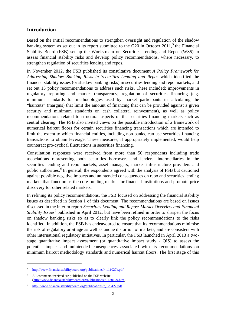### <span id="page-5-0"></span>**Introduction**

Based on the initial recommendations to strengthen oversight and regulation of the shadow banking system as set out in its report submitted to the G20 in October 2011,<sup>[5](#page-5-1)</sup> the Financial Stability Board (FSB) set up the Workstream on Securities Lending and Repos (WS5) to assess financial stability risks and develop policy recommendations, where necessary, to strengthen regulation of securities lending and repos.

In November 2012, the FSB published its consultative document *A Policy Framework for Addressing Shadow Banking Risks in Securities Lending and Repos* which identified the financial stability issues (or shadow banking risks) in securities lending and repo markets, and set out 13 policy recommendations to address such risks. These included: improvements in regulatory reporting and market transparency; regulation of securities financing (e.g. minimum standards for methodologies used by market participants in calculating the "haircuts" (margins) that limit the amount of financing that can be provided against a given security and minimum standards on cash collateral reinvestment), as well as policy recommendations related to structural aspects of the securities financing markets such as central clearing. The FSB also invited views on the possible introduction of a framework of numerical haircut floors for certain securities financing transactions which are intended to limit the extent to which financial entities, including non-banks, can use securities financing transactions to obtain leverage. These measures, if appropriately implemented, would help counteract pro-cyclical fluctuations in securities financing.

Consultation responses were received from more than 50 respondents including trade associations representing both securities borrowers and lenders, intermediaries in the securities lending and repo markets, asset managers, market infrastructure providers and public authorities.<sup>[6](#page-5-2)</sup> In general, the respondents agreed with the analysis of FSB but cautioned against possible negative impacts and unintended consequences on repo and securities lending markets that function as the core funding market for financial institutions and promote price discovery for other related markets.

In refining its policy recommendations, the FSB focused on addressing the financial stability issues as described in Section 1 of this document. The recommendations are based on issues discussed in the interim report *Securities Lending and Repos: Market Overview and Financial Stability Issues<sup>[7](#page-5-3)</sup>* published in April 2012, but have been refined in order to sharpen the focus on shadow banking risks so as to clearly link the policy recommendations to the risks identified. In addition, the FSB has endeavoured to ensure that its recommendations minimise the risk of regulatory arbitrage as well as undue distortion of markets, and are consistent with other international regulatory initiatives. In particular, the FSB launched in April 2013 a twostage quantitative impact assessment (or quantitative impact study - QIS) to assess the potential impact and unintended consequences associated with its recommendations on minimum haircut methodology standards and numerical haircut floors. The first stage of this

<span id="page-5-1"></span><sup>5</sup> [http://www.financialstabilityboard.org/publications/r\\_111027a.pdf](http://www.financialstabilityboard.org/publications/r_111027a.pdf)

<span id="page-5-2"></span>All comments received are published on the FSB website [\(http://www.financialstabilityboard.org/publications/c\\_130129.htm\)](http://www.financialstabilityboard.org/publications/c_130129.htm).

<span id="page-5-3"></span><sup>7</sup> [http://www.financialstabilityboard.org/publications/r\\_120427.pdf](http://www.financialstabilityboard.org/publications/r_120427.pdf)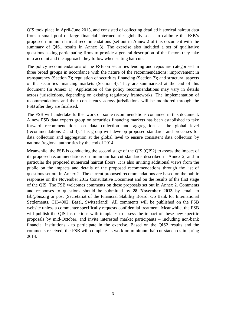QIS took place in April-June 2013, and consisted of collecting detailed historical haircut data from a small pool of large financial intermediaries globally so as to calibrate the FSB's proposed minimum haircut recommendations (set out in Annex 2 of this document with the summary of QIS1 results in Annex 3). The exercise also included a set of qualitative questions asking participating firms to provide a general description of the factors they take into account and the approach they follow when setting haircuts.

The policy recommendations of the FSB on securities lending and repos are categorised in three broad groups in accordance with the nature of the recommendations: improvement in transparency (Section 2); regulation of securities financing (Section 3); and structural aspects of the securities financing markets (Section 4). They are summarised at the end of this document (in Annex 1). Application of the policy recommendations may vary in details across jurisdictions, depending on existing regulatory frameworks. The implementation of recommendations and their consistency across jurisdictions will be monitored through the FSB after they are finalised.

The FSB will undertake further work on some recommendations contained in this document. A new FSB data experts group on securities financing markets has been established to take forward recommendations on data collection and aggregation at the global level (recommendations 2 and 3). This group will develop proposed standards and processes for data collection and aggregation at the global level to ensure consistent data collection by national/regional authorities by the end of 2014.

Meanwhile, the FSB is conducting the second stage of the QIS (QIS2) to assess the impact of its proposed recommendations on minimum haircut standards described in Annex 2, and in particular the proposed numerical haircut floors. It is also inviting additional views from the public on the impacts and details of the proposed recommendations through the list of questions set out in Annex 2. The current proposed recommendations are based on the public responses on the November 2012 Consultative Document and on the results of the first stage of the QIS. The FSB welcomes comments on these proposals set out in Annex 2. Comments and responses to questions should be submitted by **28 November 2013** by email to [fsb@bis.org](mailto:fsb@bis.org) or post (Secretariat of the Financial Stability Board, c/o Bank for International Settlements, CH-4002, Basel, Switzerland). All comments will be published on the FSB website unless a commenter specifically requests confidential treatment. Meanwhile, the FSB will publish the QIS instructions with templates to assess the impact of these new specific proposals by mid-October, and invite interested market participants – including non-bank financial institutions - to participate in the exercise. Based on the QIS2 results and the comments received, the FSB will complete its work on minimum haircut standards in spring 2014.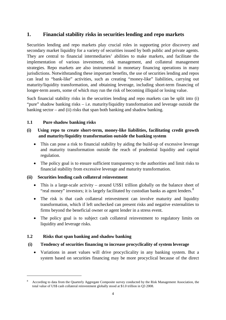## <span id="page-7-0"></span>**1. Financial stability risks in securities lending and repo markets**

Securities lending and repo markets play crucial roles in supporting price discovery and secondary market liquidity for a variety of securities issued by both public and private agents. They are central to financial intermediaries' abilities to make markets, and facilitate the implementation of various investment, risk management, and collateral management strategies. Repo markets are also instrumental in monetary financing operations in many jurisdictions. Notwithstanding these important benefits, the use of securities lending and repos can lead to "bank-like" activities, such as creating "money-like" liabilities, carrying out maturity/liquidity transformation, and obtaining leverage, including short-term financing of longer-term assets, some of which may run the risk of becoming illiquid or losing value.

Such financial stability risks in the securities lending and repo markets can be split into (i) "pure" shadow banking risks – i.e. maturity/liquidity transformation and leverage outside the banking sector – and (ii) risks that span both banking and shadow banking.

#### <span id="page-7-1"></span>**1.1 Pure shadow banking risks**

### **(i) Using repo to create short-term, money-like liabilities, facilitating credit growth and maturity/liquidity transformation outside the banking system**

- This can pose a risk to financial stability by aiding the build-up of excessive leverage and maturity transformation outside the reach of prudential liquidity and capital regulation.
- The policy goal is to ensure sufficient transparency to the authorities and limit risks to financial stability from excessive leverage and maturity transformation.

#### **(ii) Securities lending cash collateral reinvestment**

- This is a large-scale activity around US\$1 trillion globally on the balance sheet of "real money" investors; it is largely facilitated by custodian banks as agent lenders.<sup>[8](#page-7-3)</sup>
- The risk is that cash collateral reinvestment can involve maturity and liquidity transformation, which if left unchecked can present risks and negative externalities to firms beyond the beneficial owner or agent lender in a stress event.
- The policy goal is to subject cash collateral reinvestment to regulatory limits on liquidity and leverage risks.

#### <span id="page-7-2"></span>**1.2 Risks that span banking and shadow banking**

-

#### **(i) Tendency of securities financing to increase procyclicality of system leverage**

• Variations in asset values will drive procyclicality in any banking system. But a system based on securities financing may be more procyclical because of the direct

<span id="page-7-3"></span><sup>8</sup> According to data from the Quarterly Aggregate Composite survey conducted by the Risk Management Association, the total value of US\$ cash collateral reinvestment globally stood at \$1.0 trillion in Q3 2008.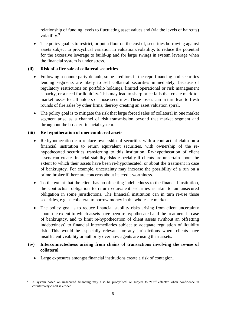relationship of funding levels to fluctuating asset values and (via the levels of haircuts) volatility.<sup>[9](#page-8-0)</sup>

• The policy goal is to restrict, or put a floor on the cost of, securities borrowing against assets subject to procyclical variation in valuations/volatility, to reduce the potential for the excessive leverage to build-up and for large swings in system leverage when the financial system is under stress.

#### **(ii) Risk of a fire sale of collateral securities**

- Following a counterparty default, some creditors in the repo financing and securities lending segments are likely to sell collateral securities immediately, because of regulatory restrictions on portfolio holdings, limited operational or risk management capacity, or a need for liquidity. This may lead to sharp price falls that create mark-tomarket losses for all holders of those securities. These losses can in turn lead to fresh rounds of fire sales by other firms, thereby creating an asset valuation spiral.
- The policy goal is to mitigate the risk that large forced sales of collateral in one market segment arise as a channel of risk transmission beyond that market segment and throughout the broader financial system.

#### **(iii) Re-hypothecation of unencumbered assets**

-

- Re-hypothecation can replace ownership of securities with a contractual claim on a financial institution to return equivalent securities, with ownership of the rehypothecated securities transferring to this institution. Re-hypothecation of client assets can create financial stability risks especially if clients are uncertain about the extent to which their assets have been re-hypothecated, or about the treatment in case of bankruptcy. For example, uncertainty may increase the possibility of a run on a prime-broker if there are concerns about its credit worthiness.
- To the extent that the client has no offsetting indebtedness to the financial institution, the contractual obligation to return equivalent securities is akin to an unsecured obligation in some jurisdictions. The financial institution can in turn re-use those securities, e.g. as collateral to borrow money in the wholesale markets.
- The policy goal is to reduce financial stability risks arising from client uncertainty about the extent to which assets have been re-hypothecated and the treatment in case of bankruptcy, and to limit re-hypothecation of client assets (without an offsetting indebtedness) to financial intermediaries subject to adequate regulation of liquidity risk. This would be especially relevant for any jurisdictions where clients have insufficient visibility or authority over how agents are using their assets.

### **(iv) Interconnectedness arising from chains of transactions involving the re-use of collateral**

• Large exposures amongst financial institutions create a risk of contagion.

<span id="page-8-0"></span><sup>9</sup> A system based on unsecured financing may also be procyclical or subject to "cliff effects" when confidence in counterparty credit is eroded.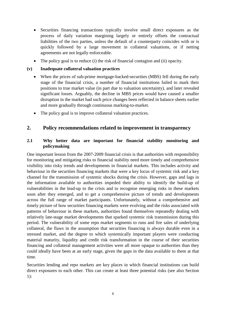- Securities financing transactions typically involve small direct exposures as the process of daily variation margining largely or entirely offsets the contractual liabilities of the two parties, unless the default of a counterparty coincides with or is quickly followed by a large movement in collateral valuations, or if netting agreements are not legally enforceable.
- The policy goal is to reduce (i) the risk of financial contagion and (ii) opacity.

#### **(v) Inadequate collateral valuation practices**

- When the prices of sub-prime mortgage-backed-securities (MBS) fell during the early stage of the financial crisis, a number of financial institutions failed to mark their positions to true market value (in part due to valuation uncertainty), and later revealed significant losses. Arguably, the decline in MBS prices would have caused a smaller disruption in the market had such price changes been reflected in balance sheets earlier and more gradually through continuous marking-to-market.
- The policy goal is to improve collateral valuation practices.

## <span id="page-9-0"></span>**2. Policy recommendations related to improvement in transparency**

### <span id="page-9-1"></span>**2.1 Why better data are important for financial stability monitoring and policymaking**

One important lesson from the 2007-2009 financial crisis is that authorities with responsibility for monitoring and mitigating risks to financial stability need more timely and comprehensive visibility into risky trends and developments in financial markets. This includes activity and behaviour in the securities financing markets that were a key locus of systemic risk and a key channel for the transmission of systemic shocks during the crisis. However, gaps and lags in the information available to authorities impeded their ability to identify the build-up of vulnerabilities in the lead-up to the crisis and to recognise emerging risks in these markets soon after they emerged, and to get a comprehensive picture of trends and developments across the full range of market participants. Unfortunately, without a comprehensive and timely picture of how securities financing markets were evolving and the risks associated with patterns of behaviour in these markets, authorities found themselves repeatedly dealing with relatively late-stage market developments that sparked systemic risk transmission during this period. The vulnerability of some repo market segments to runs and fire sales of underlying collateral, the flaws in the assumption that securities financing is always durable even in a stressed market, and the degree to which systemically important players were conducting material maturity, liquidity and credit risk transformation in the course of their securities financing and collateral management activities were all more opaque to authorities than they could ideally have been at an early stage, given the gaps in the data available to them at that time.

Securities lending and repo markets are key places in which financial institutions can build direct exposures to each other. This can create at least three potential risks (see also Section 1):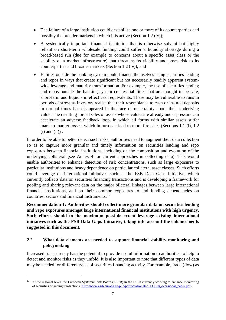- The failure of a large institution could destabilise one or more of its counterparties and possibly the broader markets in which it is active (Section 1.2 (iv));
- A systemically important financial institution that is otherwise solvent but highly reliant on short-term wholesale funding could suffer a liquidity shortage during a broad-based run (due for example to concerns about a specific asset class or the stability of a market infrastructure) that threatens its viability and poses risk to its counterparties and broader markets (Section 1.2 (iv)); and
- Entities outside the banking system could finance themselves using securities lending and repos in ways that create significant but not necessarily readily apparent systemwide leverage and maturity transformation. For example, the use of securities lending and repos outside the banking system creates liabilities that are thought to be safe, short-term and liquid - in effect cash equivalents. These may be vulnerable to runs in periods of stress as investors realise that their resemblance to cash or insured deposits in normal times has disappeared in the face of uncertainty about their underlying value. The resulting forced sales of assets whose values are already under pressure can accelerate an adverse feedback loop, in which all forms with similar assets suffer mark-to-market losses, which in turn can lead to more fire sales (Sections 1.1 (i), 1.2  $(i)$  and  $(ii)$ ).

In order to be able to better detect such risks, authorities need to augment their data collection so as to capture more granular and timely information on securities lending and repo exposures between financial institutions, including on the composition and evolution of the underlying collateral (see Annex 4 for current approaches in collecting data). This would enable authorities to enhance detection of risk concentrations, such as large exposures to particular institutions and heavy dependence on particular collateral asset classes. Such efforts could leverage on international initiatives such as the FSB Data Gaps Initiative, which currently collects data on securities financing transactions and is developing a framework for pooling and sharing relevant data on the major bilateral linkages between large international financial institutions, and on their common exposures to and funding dependencies on countries, sectors and financial instruments.[10](#page-10-1)

**Recommendation 1: Authorities should collect more granular data on securities lending and repo exposures amongst large international financial institutions with high urgency. Such efforts should to the maximum possible extent leverage existing international initiatives such as the FSB Data Gaps Initiative, taking into account the enhancements suggested in this document.**

#### <span id="page-10-0"></span>**2.2 What data elements are needed to support financial stability monitoring and policymaking**

Increased transparency has the potential to provide useful information to authorities to help to detect and monitor risks as they unfold. It is also important to note that different types of data may be needed for different types of securities financing activity. For example, trade (flow) as

<span id="page-10-1"></span><sup>&</sup>lt;sup>10</sup> At the regional level, the European Systemic Risk Board (ESRB) in the EU is currently working to enhance monitoring of securities financing transactions [\(http://www.esrb.europa.eu/pub/pdf/occasional/20130318\\_occasional\\_paper.pdf\)](http://www.esrb.europa.eu/pub/pdf/occasional/20130318_occasional_paper.pdf).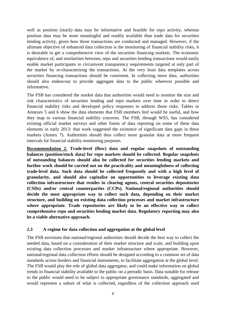well as position (stock) data may be informative and feasible for repo activity, whereas position data may be more meaningful and readily available than trade data for securities lending activity, given how those transactions are conducted and managed. However, if the ultimate objective of enhanced data collection is the monitoring of financial stability risks, it is desirable to get a comprehensive view of the securities financing markets. The economic equivalence of, and similarities between, repo and securities lending transactions would easily enable market participants to circumvent transparency requirements targeted at only part of the market by re-characterising the transactions. At the very least data templates across securities financing transactions should be consistent. In collecting more data, authorities should also endeavour to provide aggregate data to the public wherever possible and informative.

The FSB has considered the market data that authorities would need to monitor the size and risk characteristics of securities lending and repo markets over time in order to detect financial stability risks and developed policy responses to address those risks. Tables in Annexes 5 and 6 show the data elements that FSB members feel would be useful, and how they map to various financial stability concerns. The FSB, through WS5, has considered existing official market surveys and other forms of data reporting on some of these data elements in early 2013: that work suggested the existence of significant data gaps in these markets (Annex 7). Authorities should thus collect more granular data at more frequent intervals for financial stability monitoring purposes.

**Recommendation 2**: **Trade-level (flow) data and regular snapshots of outstanding balances (position/stock data) for repo markets should be collected. Regular snapshots of outstanding balances should also be collected for securities lending markets and further work should be carried out on the practicality and meaningfulness of collecting trade-level data. Such data should be collected frequently and with a high level of granularity, and should also capitalise on opportunities to leverage existing data collection infrastructure that resides in clearing agents, central securities depositories (CSDs) and/or central counterparties (CCPs). National/regional authorities should decide the most appropriate way to collect such data, depending on their market structure, and building on existing data collection processes and market infrastructure where appropriate. Trade repositories are likely to be an effective way to collect comprehensive repo and securities lending market data. Regulatory reporting may also be a viable alternative approach.**

#### <span id="page-11-0"></span>**2.3 A regime for data collection and aggregation at the global level**

The FSB envisions that national/regional authorities should decide the best way to collect the needed data, based on a consideration of their market structure and scale, and building upon existing data collection processes and market infrastructure where appropriate. However, national/regional data collection efforts should be designed according to a common set of data standards across borders and financial instruments, to facilitate aggregation at the global level. The FSB would play the role of global data aggregator, and could make information on global trends in financial stability available to the public on a periodic basis. Data suitable for release to the public would need to be subject to appropriate governance standards, aggregated and would represent a subset of what is collected, regardless of the collection approach used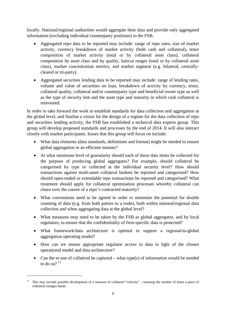locally. National/regional authorities would aggregate their data and provide only aggregated information (excluding individual counterparty positions) to the FSB.

- Aggregated repo data to be reported may include: range of repo rates, size of market activity, currency breakdown of market activity (both cash and collateral), tenor composition of market activity (total or by collateral asset class), collateral composition by asset class and by quality, haircut ranges (total or by collateral asset class), market concentration metrics, and market segment (e.g. bilateral, centrallycleared or tri-party).
- Aggregated securities lending data to be reported may include: range of lending rates, volume and value of securities on loan, breakdown of activity by currency, tenor, collateral quality, collateral and/or counterparty type and beneficial owner type as well as the type of security lent and the asset type and maturity in which cash collateral is reinvested.

In order to take forward the work to establish standards for data collection and aggregation at the global level, and finalise a vision for the design of a regime for the data collection of repo and securities lending activity, the FSB has established a technical data experts group. This group will develop proposed standards and processes by the end of 2014. It will also interact closely with market participants. Issues that this group will focus on include:

- What data elements (data standards, definitions and format) might be needed to ensure global aggregation in an efficient manner?
- At what minimum level of granularity should each of these data items be collected for the purpose of producing global aggregates? For example, should collateral be categorised by type or collected at the individual security level? How should transactions against multi-asset collateral baskets be reported and categorised? How should open-ended or extendable repo transactions be reported and categorised? What treatment should apply for collateral optimisation processes whereby collateral can churn over the course of a repo's contracted maturity?
- What conventions need to be agreed in order to minimize the potential for double counting of data (e.g. from both parties to a trade), both within national/regional data collection and when aggregating data at the global level?
- What measures may need to be taken by the FSB as global aggregator, and by local regulators, to ensure that the confidentiality of firm-specific data is protected?
- What framework/data architecture is optimal to support a regional-to-global aggregation operating model?
- How can we ensure appropriate regulator access to data in light of the chosen operational model and data architecture?
- Can the re-use of collateral be captured what type(s) of information would be needed to do so?  $11$

<span id="page-12-0"></span><sup>&</sup>lt;sup>11</sup> This may include possible development of a measure of collateral "velocity" – meaning the number of times a piece of collateral changes hands.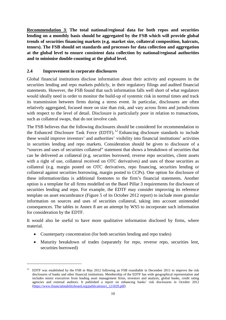**Recommendation 3**: **The total national/regional data for both repos and securities lending on a monthly basis should be aggregated by the FSB which will provide global trends of securities financing markets (e.g. market size, collateral composition, haircuts, tenors). The FSB should set standards and processes for data collection and aggregation at the global level to ensure consistent data collection by national/regional authorities and to minimise double-counting at the global level.**

#### <span id="page-13-0"></span>**2.4 Improvement in corporate disclosures**

Global financial institutions disclose information about their activity and exposures in the securities lending and repo markets publicly, in their regulatory filings and audited financial statements. However, the FSB found that such information falls well short of what regulators would ideally need in order to monitor the build-up of systemic risk in normal times and track its transmission between firms during a stress event. In particular, disclosures are often relatively aggregated, focused more on size than risk, and vary across firms and jurisdictions with respect to the level of detail. Disclosure is particularly poor in relation to transactions, such as collateral swaps, that do not involve cash.

The FSB believes that the following disclosures should be considered for recommendation to the Enhanced Disclosure Task Force (EDTF).<sup>[12](#page-13-1)</sup> Enhancing disclosure standards to include these would improve investors' and authorities' visibility into financial institutions' activities in securities lending and repo markets. Consideration should be given to disclosure of a "sources and uses of securities collateral" statement that shows a breakdown of securities that can be delivered as collateral (e.g. securities borrowed, reverse repo securities, client assets with a right of use, collateral received on OTC derivatives) and uses of those securities as collateral (e.g. margin posted on OTC derivatives, repo financing, securities lending or collateral against securities borrowing, margin posted to CCPs). One option for disclosure of these information/data is additional footnotes to the firm's financial statements. Another option is a template for all firms modelled on the Basel Pillar 3 requirements for disclosure of securities lending and repo. For example, the EDTF may consider improving its reference template on asset encumbrance (Figure 5 of its October 2012 report) to include more granular information on sources and uses of securities collateral, taking into account unintended consequences. The tables in Annex 8 are an attempt by WS5 to incorporate such information for consideration by the EDTF.

It would also be useful to have more qualitative information disclosed by firms, where material.

• Counterparty concentration (for both securities lending and repo trades)

-

• Maturity breakdown of trades (separately for repo, reverse repo, securities lent, securities borrowed)

<span id="page-13-1"></span><sup>&</sup>lt;sup>12</sup> EDTF was established by the FSB in May 2012 following an FSB roundtable in December 2011 to improve the risk disclosures of banks and other financial institutions. Membership of the EDTF has wide geographical representation and includes senior executives from leading asset management firms, investors and analysts, global banks, credit rating agencies and external auditors. It published a report on enhancing banks' risk disclosures in October 2012 [\(https://www.financialstabilityboard.org/publications/r\\_121029.pdf\)](https://www.financialstabilityboard.org/publications/r_121029.pdf).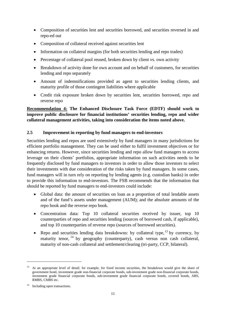- Composition of securities lent and securities borrowed, and securities reversed in and repo-ed out
- Composition of collateral received against securities lent
- Information on collateral margins (for both securities lending and repo trades)
- Percentage of collateral pool reused, broken down by client vs. own activity
- Breakdown of activity done for own account and on behalf of customers, for securities lending and repo separately
- Amount of indemnifications provided as agent to securities lending clients, and maturity profile of those contingent liabilities where applicable
- Credit risk exposure broken down by securities lent, securities borrowed, repo and reverse repo

### **Recommendation 4: The Enhanced Disclosure Task Force (EDTF) should work to improve public disclosure for financial institutions' securities lending, repo and wider collateral management activities, taking into consideration the items noted above.**

#### <span id="page-14-0"></span>**2.5 Improvement in reporting by fund managers to end-investors**

Securities lending and repos are used extensively by fund managers in many jurisdictions for efficient portfolio management. They can be used either to fulfil investment objectives or for enhancing returns. However, since securities lending and repo allow fund managers to access leverage on their clients' portfolios, appropriate information on such activities needs to be frequently disclosed by fund managers to investors in order to allow those investors to select their investments with due consideration of the risks taken by fund managers. In some cases, fund managers will in turn rely on reporting by lending agents (e.g. custodian banks) in order to provide this information to end-investors. The FSB recommends that the information that should be reported by fund managers to end-investors could include:

- Global data: the amount of securities on loan as a proportion of total lendable assets and of the fund's assets under management (AUM); and the absolute amounts of the repo book and the reverse repo book.
- Concentration data: Top 10 collateral securities received by issuer, top 10 counterparties of repo and securities lending (sources of borrowed cash, if applicable), and top 10 counterparties of reverse repo (sources of borrowed securities).
- Repo and securities lending data breakdowns: by collateral type,  $13$  by currency, by maturity tenor, <sup>[14](#page-14-2)</sup> by geography (counterparty), cash versus non cash collateral, maturity of non-cash collateral and settlement/clearing (tri-party, CCP, bilateral).

<span id="page-14-1"></span><sup>&</sup>lt;sup>13</sup> At an appropriate level of detail: for example, for fixed income securities, the breakdown would give the share of government bond, investment grade non-financial corporate bonds, sub-investment grade non-financial corporate bonds, investment grade financial corporate bonds, sub-investment grade financial corporate bonds, covered bonds, ABS, RMBS, CMBS etc.

<span id="page-14-2"></span><sup>&</sup>lt;sup>14</sup> Including open transactions.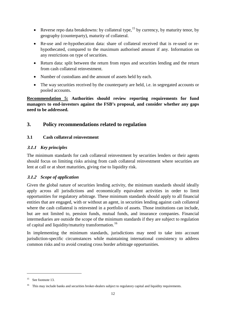- Reverse repo data breakdowns: by collateral type,<sup>[15](#page-15-2)</sup> by currency, by maturity tenor, by geography (counterparty), maturity of collateral.
- Re-use and re-hypothecation data: share of collateral received that is re-used or rehypothecated, compared to the maximum authorised amount if any. Information on any restrictions on type of securities.
- Return data: split between the return from repos and securities lending and the return from cash collateral reinvestment.
- Number of custodians and the amount of assets held by each.
- The way securities received by the counterparty are held, i.e. in segregated accounts or pooled accounts.

**Recommendation 5: Authorities should review reporting requirements for fund managers to end-investors against the FSB's proposal, and consider whether any gaps need to be addressed.**

## <span id="page-15-0"></span>**3. Policy recommendations related to regulation**

## <span id="page-15-1"></span>**3.1 Cash collateral reinvestment**

## **3.1.1** *Key principles*

The minimum standards for cash collateral reinvestment by securities lenders or their agents should focus on limiting risks arising from cash collateral reinvestment where securities are lent at call or at short maturities, giving rise to liquidity risk.

## **3.1.2** *Scope of application*

Given the global nature of securities lending activity, the minimum standards should ideally apply across all jurisdictions and economically equivalent activities in order to limit opportunities for regulatory arbitrage. These minimum standards should apply to all financial entities that are engaged, with or without an agent, in securities lending against cash collateral where the cash collateral is reinvested in a portfolio of assets. Those institutions can include, but are not limited to, pension funds, mutual funds, and insurance companies. Financial intermediaries are outside the scope of the minimum standards if they are subject to regulation of capital and liquidity/maturity transformation.<sup>[16](#page-15-3)</sup>

In implementing the minimum standards, jurisdictions may need to take into account jurisdiction-specific circumstances while maintaining international consistency to address common risks and to avoid creating cross border arbitrage opportunities.

<span id="page-15-2"></span><sup>15</sup> See footnote 13.

<span id="page-15-3"></span><sup>&</sup>lt;sup>16</sup> This may include banks and securities broker-dealers subject to regulatory capital and liquidity requirements.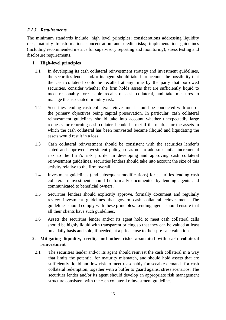#### **3.1.3** *Requirements*

The minimum standards include: high level principles; considerations addressing liquidity risk, maturity transformation, concentration and credit risks; implementation guidelines (including recommended metrics for supervisory reporting and monitoring); stress testing and disclosure requirements.

#### **1. High-level principles**

- 1.1 In developing its cash collateral reinvestment strategy and investment guidelines, the securities lender and/or its agent should take into account the possibility that the cash collateral could be recalled at any time by the party that borrowed securities, consider whether the firm holds assets that are sufficiently liquid to meet reasonably foreseeable recalls of cash collateral, and take measures to manage the associated liquidity risk.
- 1.2 Securities lending cash collateral reinvestment should be conducted with one of the primary objectives being capital preservation. In particular, cash collateral reinvestment guidelines should take into account whether unexpectedly large requests for returning cash collateral could be met if the market for the assets in which the cash collateral has been reinvested became illiquid and liquidating the assets would result in a loss.
- 1.3 Cash collateral reinvestment should be consistent with the securities lender's stated and approved investment policy, so as not to add substantial incremental risk to the firm's risk profile. In developing and approving cash collateral reinvestment guidelines, securities lenders should take into account the size of this activity relative to the firm overall.
- 1.4 Investment guidelines (and subsequent modifications) for securities lending cash collateral reinvestment should be formally documented by lending agents and communicated to beneficial owners.
- 1.5 Securities lenders should explicitly approve, formally document and regularly review investment guidelines that govern cash collateral reinvestment. The guidelines should comply with these principles. Lending agents should ensure that all their clients have such guidelines.
- 1.6 Assets the securities lender and/or its agent hold to meet cash collateral calls should be highly liquid with transparent pricing so that they can be valued at least on a daily basis and sold, if needed, at a price close to their pre-sale valuation.

### **2. Mitigating liquidity, credit, and other risks associated with cash collateral reinvestment**

2.1 The securities lender and/or its agent should reinvest the cash collateral in a way that limits the potential for maturity mismatch, and should hold assets that are sufficiently liquid and low risk to meet reasonably foreseeable demands for cash collateral redemption, together with a buffer to guard against stress scenarios. The securities lender and/or its agent should develop an appropriate risk management structure consistent with the cash collateral reinvestment guidelines.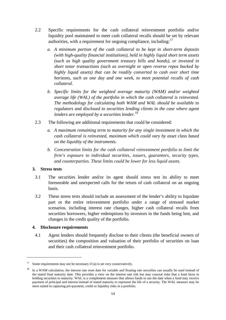- 2.2 Specific requirements for the cash collateral reinvestment portfolio and/or liquidity pool maintained to meet cash collateral recalls should be set by relevant authorities, with a requirement for ongoing compliance, including:<sup>[17](#page-17-0)</sup>
	- *a. A minimum portion of the cash collateral to be kept in short-term deposits (with high-quality financial institutions), held in highly liquid short term assets (such as high quality government treasury bills and bonds), or invested in short tenor transactions (such as overnight or open reverse repos backed by highly liquid assets) that can be readily converted to cash over short time horizons, such as one day and one week, to meet potential recalls of cash collateral.*
	- *b. Specific limits for the weighted average maturity (WAM) and/or weighted average life (WAL) of the portfolio in which the cash collateral is reinvested. The methodology for calculating both WAM and WAL should be available to regulators and disclosed to securities lending clients in the case where agent lenders are employed by a securities lender.*[18](#page-17-1)
- 2.3 The following are additional requirements that could be considered:
	- *a. A maximum remaining term to maturity for any single investment in which the cash collateral is reinvested, maximum which could vary by asset class based on the liquidity of the instruments.*
	- *b. Concentration limits for the cash collateral reinvestment portfolio to limit the firm's exposure to individual securities, issuers, guarantors, security types, and counterparties. These limits could be lower for less liquid assets.*

#### **3. Stress tests**

-

- 3.1 The securities lender and/or its agent should stress test its ability to meet foreseeable and unexpected calls for the return of cash collateral on an ongoing basis.
- 3.2 These stress tests should include an assessment of the lender's ability to liquidate part or the entire reinvestment portfolio under a range of stressed market scenarios, including interest rate changes, higher cash collateral recalls from securities borrowers, higher redemptions by investors in the funds being lent, and changes in the credit quality of the portfolio.

#### **4. Disclosure requirements**

4.1 Agent lenders should frequently disclose to their clients (the beneficial owners of securities) the composition and valuation of their portfolio of securities on loan and their cash collateral reinvestment portfolio.

<span id="page-17-0"></span><sup>&</sup>lt;sup>17</sup> Some requirements may not be necessary if (a) is set very conservatively.

<span id="page-17-1"></span>In a WAM calculation, the interest rate reset date for variable and floating rate securities can usually be used instead of the stated final maturity date. This provides a view on the interest rate risk but may conceal risks that a fund faces in holding securities to maturity. WAL is a complement measure that allows funds to use the date when a fund may receive payment of principal and interest instead of stated maturity to represent the life of a security. The WAL measure may be more suited to capturing pre-payment, credit or liquidity risks in a portfolio.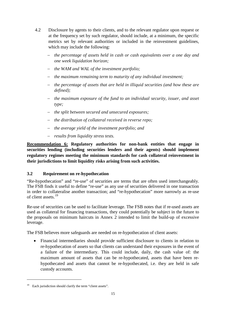- 4.2 Disclosure by agents to their clients, and to the relevant regulator upon request or at the frequency set by such regulator, should include, at a minimum, the specific metrics set by relevant authorities or included in the reinvestment guidelines, which may include the following:
	- − *the percentage of assets held in cash or cash equivalents over a one day and one week liquidation horizon;*
	- − *the WAM and WAL of the investment portfolio;*
	- − *the maximum remaining term to maturity of any individual investment;*
	- − *the percentage of assets that are held in illiquid securities (and how these are defined);*
	- − *the maximum exposure of the fund to an individual security, issuer, and asset type;*
	- − *the split between secured and unsecured exposures;*
	- − *the distribution of collateral received in reverse repo;*
	- − *the average yield of the investment portfolio; and*
	- − *results from liquidity stress tests.*

**Recommendation 6: Regulatory authorities for non-bank entities that engage in securities lending (including securities lenders and their agents) should implement regulatory regimes meeting the minimum standards for cash collateral reinvestment in their jurisdictions to limit liquidity risks arising from such activities.**

#### <span id="page-18-0"></span>**3.2 Requirement on re-hypothecation**

"Re-hypothecation" and "re-use" of securities are terms that are often used interchangeably. The FSB finds it useful to define "re-use" as any use of securities delivered in one transaction in order to collateralise another transaction; and "re-hypothecation" more narrowly as re-use of client assets.[19](#page-18-1)

Re-use of securities can be used to facilitate leverage. The FSB notes that if re-used assets are used as collateral for financing transactions, they could potentially be subject in the future to the proposals on minimum haircuts in Annex 2 intended to limit the build-up of excessive leverage.

The FSB believes more safeguards are needed on re-hypothecation of client assets:

• Financial intermediaries should provide sufficient disclosure to clients in relation to re-hypothecation of assets so that clients can understand their exposures in the event of a failure of the intermediary. This could include, daily, the cash value of: the maximum amount of assets that can be re-hypothecated, assets that have been rehypothecated and assets that cannot be re-hypothecated, i.e. they are held in safe custody accounts.

<u>.</u>

<span id="page-18-1"></span><sup>&</sup>lt;sup>19</sup> Each jurisdiction should clarify the term "client assets".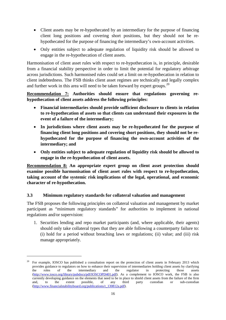- Client assets may be re-hypothecated by an intermediary for the purpose of financing client long positions and covering short positions, but they should not be rehypothecated for the purpose of financing the intermediary's own-account activities.
- Only entities subject to adequate regulation of liquidity risk should be allowed to engage in the re-hypothecation of client assets.

Harmonisation of client asset rules with respect to re-hypothecation is, in principle, desirable from a financial stability perspective in order to limit the potential for regulatory arbitrage across jurisdictions. Such harmonised rules could set a limit on re-hypothecation in relation to client indebtedness. The FSB thinks client asset regimes are technically and legally complex and further work in this area will need to be taken forward by expert groups.<sup>[20](#page-19-1)</sup>

**Recommendation 7: Authorities should ensure that regulations governing rehypothecation of client assets address the following principles:** 

- **Financial intermediaries should provide sufficient disclosure to clients in relation to re-hypothecation of assets so that clients can understand their exposures in the event of a failure of the intermediary;**
- **In jurisdictions where client assets may be re-hypothecated for the purpose of financing client long positions and covering short positions, they should not be rehypothecated for the purpose of financing the own-account activities of the intermediary; and**
- **Only entities subject to adequate regulation of liquidity risk should be allowed to engage in the re-hypothecation of client assets.**

**Recommendation 8: An appropriate expert group on client asset protection should examine possible harmonisation of client asset rules with respect to re-hypothecation, taking account of the systemic risk implications of the legal, operational, and economic character of re-hypothecation.**

## <span id="page-19-0"></span>**3.3 Minimum regulatory standards for collateral valuation and management**

The FSB proposes the following principles on collateral valuation and management by market participant as "minimum regulatory standards" for authorities to implement in national regulations and/or supervision:

1. Securities lending and repo market participants (and, where applicable, their agents) should only take collateral types that they are able following a counterparty failure to: (i) hold for a period without breaching laws or regulations; (ii) value; and (iii) risk manage appropriately.

<span id="page-19-1"></span><sup>&</sup>lt;sup>20</sup> For example, IOSCO has published a consultation report on the protection of client assets in February 2013 which provides guidance to regulators on how to enhance their supervision of intermediaries holding client assets by clarifying the regulator in protecting those assets the roles of the intermediary and the regulator in protecting those assets [\(http://www.iosco.org/library/pubdocs/pdf/IOSCOPD401.pdf\)](http://www.iosco.org/library/pubdocs/pdf/IOSCOPD401.pdf). As a complement to IOSCO work, the FSB is also currently developing guidance on the elements that need to be in place to shield client assets from the failure of the firm and, to the extent possible, of any third party custodian or sub-custodian and, to the extent possible, of any third party custodian or [\(http://www.financialstabilityboard.org/publications/r\\_130812a.pdf\)](http://www.financialstabilityboard.org/publications/r_130812a.pdf).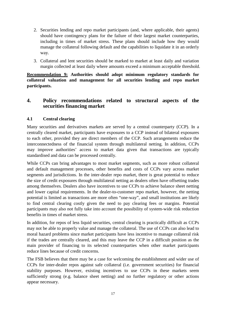- 2. Securities lending and repo market participants (and, where applicable, their agents) should have contingency plans for the failure of their largest market counterparties, including in times of market stress. These plans should include how they would manage the collateral following default and the capabilities to liquidate it in an orderly way.
- 3. Collateral and lent securities should be marked to market at least daily and variation margin collected at least daily where amounts exceed a minimum acceptable threshold.

**Recommendation 9: Authorities should adopt minimum regulatory standards for collateral valuation and management for all securities lending and repo market participants.** 

## <span id="page-20-0"></span>**4. Policy recommendations related to structural aspects of the securities financing market**

### <span id="page-20-1"></span>**4.1 Central clearing**

Many securities and derivatives markets are served by a central counterparty (CCP). In a centrally cleared market, participants have exposures to a CCP instead of bilateral exposures to each other, provided they are direct members of the CCP. Such arrangements reduce the interconnectedness of the financial system through multilateral netting. In addition, CCPs may improve authorities' access to market data given that transactions are typically standardised and data can be processed centrally.

While CCPs can bring advantages to most market segments, such as more robust collateral and default management processes, other benefits and costs of CCPs vary across market segments and jurisdictions. In the inter-dealer repo market, there is great potential to reduce the size of credit exposures through multilateral netting as dealers often have offsetting trades among themselves. Dealers also have incentives to use CCPs to achieve balance sheet netting and lower capital requirements. In the dealer-to-customer repo market, however, the netting potential is limited as transactions are more often "one-way", and small institutions are likely to find central clearing costly given the need to pay clearing fees or margins. Potential participants may also not fully take into account the possibility of system-wide risk reduction benefits in times of market stress.

In addition, for repos of less liquid securities, central clearing is practically difficult as CCPs may not be able to properly value and manage the collateral. The use of CCPs can also lead to moral hazard problems since market participants have less incentive to manage collateral risk if the trades are centrally cleared, and this may leave the CCP in a difficult position as the main provider of financing to its selected counterparties when other market participants reduce lines because of credit concerns.

The FSB believes that there may be a case for welcoming the establishment and wider use of CCPs for inter-dealer repos against safe collateral (i.e. government securities) for financial stability purposes. However, existing incentives to use CCPs in these markets seem sufficiently strong (e.g. balance sheet netting) and no further regulatory or other actions appear necessary.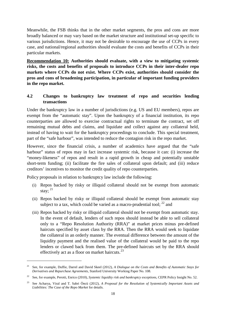Meanwhile, the FSB thinks that in the other market segments, the pros and cons are more broadly balanced or may vary based on the market structure and institutional set-up specific to various jurisdictions. Hence, it may not be desirable to encourage the use of CCPs in every case, and national/regional authorities should evaluate the costs and benefits of CCPs in their particular markets.

**Recommendation 10: Authorities should evaluate, with a view to mitigating systemic risks, the costs and benefits of proposals to introduce CCPs in their inter-dealer repo markets where CCPs do not exist. Where CCPs exist, authorities should consider the pros and cons of broadening participation, in particular of important funding providers in the repo market.**

#### <span id="page-21-0"></span>**4.2 Changes to bankruptcy law treatment of repo and securities lending transactions**

Under the bankruptcy law in a number of jurisdictions (e.g. US and EU members), repos are exempt from the "automatic stay". Upon the bankruptcy of a financial institution, its repo counterparties are allowed to exercise contractual rights to terminate the contract, set off remaining mutual debts and claims, and liquidate and collect against any collateral held, instead of having to wait for the bankruptcy proceedings to conclude. This special treatment, part of the "safe harbour", was intended to reduce the contagion risk in the repo market.

However, since the financial crisis, a number of academics have argued that the "safe harbour" status of repos may in fact increase systemic risk, because it can: (i) increase the "money-likeness" of repos and result in a rapid growth in cheap and potentially unstable short-term funding; (ii) facilitate the fire sales of collateral upon default; and (iii) reduce creditors' incentives to monitor the credit quality of repo counterparties.

Policy proposals in relation to bankruptcy law include the following:

- (i) Repos backed by risky or illiquid collateral should not be exempt from automatic stay; [21](#page-21-1)
- (ii) Repos backed by risky or illiquid collateral should be exempt from automatic stay subject to a tax, which could be varied as a macro-prudential tool;  $^{22}$  $^{22}$  $^{22}$  and
- (iii) Repos backed by risky or illiquid collateral should not be exempt from automatic stay. In the event of default, lenders of such repos should instead be able to sell collateral only to a "Repo Resolution Authority (RRA)" at market prices minus pre-defined haircuts specified by asset class by the RRA. Then the RRA would seek to liquidate the collateral in an orderly manner. The eventual difference between the amount of the liquidity payment and the realised value of the collateral would be paid to the repo lenders or clawed back from them. The pre-defined haircuts set by the RRA should effectively act as a floor on market haircuts.<sup>[23](#page-22-0)</sup>

<sup>21</sup> See, for example, Duffie, Darrel and David Skeel (2012), *A Dialogue on the Costs and Benefits of Automatic Stays for Derivatives and Repurchase Agreements*, Stanford University Working Paper No. 108.

<span id="page-21-1"></span><sup>22</sup> See, for example, Perotti, Enrico (2010), *Systemic liquidity risk and bankruptcy exceptions*, CEPR Policy Insight No. 52.

<span id="page-21-2"></span><sup>23</sup> See Acharya, Viral and T. Sabri Öncü (2012), *A Proposal for the Resolution of Systemically Important Assets and Liabilities: The Case of the Repo Market* for details.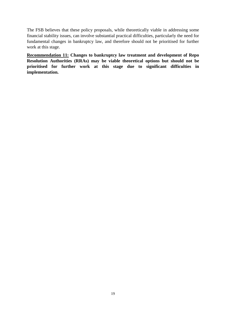The FSB believes that these policy proposals, while theoretically viable in addressing some financial stability issues, can involve substantial practical difficulties, particularly the need for fundamental changes in bankruptcy law, and therefore should not be prioritised for further work at this stage.

<span id="page-22-0"></span>**Recommendation 11: Changes to bankruptcy law treatment and development of Repo Resolution Authorities (RRAs) may be viable theoretical options but should not be prioritised for further work at this stage due to significant difficulties in implementation.**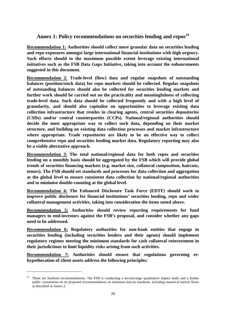## <span id="page-23-0"></span>**Annex 1: Policy recommendations on securities lending and repos[24](#page-23-1)**

**Recommendation 1: Authorities should collect more granular data on securities lending and repo exposures amongst large international financial institutions with high urgency. Such efforts should to the maximum possible extent leverage existing international initiatives such as the FSB Data Gaps Initiative, taking into account the enhancements suggested in this document.**

**Recommendation 2**: **Trade-level (flow) data and regular snapshots of outstanding balances (position/stock data) for repo markets should be collected. Regular snapshots of outstanding balances should also be collected for securities lending markets and further work should be carried out on the practicality and meaningfulness of collecting trade-level data. Such data should be collected frequently and with a high level of granularity, and should also capitalise on opportunities to leverage existing data collection infrastructure that resides in clearing agents, central securities depositories (CSDs) and/or central counterparties (CCPs). National/regional authorities should decide the most appropriate way to collect such data, depending on their market structure, and building on existing data collection processes and market infrastructure where appropriate. Trade repositories are likely to be an effective way to collect comprehensive repo and securities lending market data. Regulatory reporting may also be a viable alternative approach.**

**Recommendation 3**: **The total national/regional data for both repos and securities lending on a monthly basis should be aggregated by the FSB which will provide global trends of securities financing markets (e.g. market size, collateral composition, haircuts, tenors). The FSB should set standards and processes for data collection and aggregation at the global level to ensure consistent data collection by national/regional authorities and to minimise double-counting at the global level.**

**Recommendation 4: The Enhanced Disclosure Task Force (EDTF) should work to improve public disclosure for financial institutions' securities lending, repo and wider collateral management activities, taking into consideration the items noted above.**

**Recommendation 5: Authorities should review reporting requirements for fund managers to end-investors against the FSB's proposal, and consider whether any gaps need to be addressed.**

**Recommendation 6: Regulatory authorities for non-bank entities that engage in securities lending (including securities lenders and their agents) should implement regulatory regimes meeting the minimum standards for cash collateral reinvestment in their jurisdictions to limit liquidity risks arising from such activities.** 

**Recommendation 7: Authorities should ensure that regulations governing rehypothecation of client assets address the following principles:** 

<u>.</u>

<span id="page-23-1"></span><sup>&</sup>lt;sup>24</sup> These are finalised recommendations. The FSB is conducting a second-stage quantitative impact study and a further public consultation on its proposed recommendations on minimum haircut standards, including numerical haircut floors as described in Annex 2.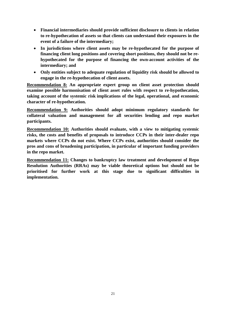- **Financial intermediaries should provide sufficient disclosure to clients in relation to re-hypothecation of assets so that clients can understand their exposures in the event of a failure of the intermediary;**
- **In jurisdictions where client assets may be re-hypothecated for the purpose of financing client long positions and covering short positions, they should not be rehypothecated for the purpose of financing the own-account activities of the intermediary; and**
- **Only entities subject to adequate regulation of liquidity risk should be allowed to engage in the re-hypothecation of client assets.**

**Recommendation 8: An appropriate expert group on client asset protection should examine possible harmonisation of client asset rules with respect to re-hypothecation, taking account of the systemic risk implications of the legal, operational, and economic character of re-hypothecation.**

**Recommendation 9: Authorities should adopt minimum regulatory standards for collateral valuation and management for all securities lending and repo market participants.** 

**Recommendation 10: Authorities should evaluate, with a view to mitigating systemic risks, the costs and benefits of proposals to introduce CCPs in their inter-dealer repo markets where CCPs do not exist. Where CCPs exist, authorities should consider the pros and cons of broadening participation, in particular of important funding providers in the repo market.** 

**Recommendation 11: Changes to bankruptcy law treatment and development of Repo Resolution Authorities (RRAs) may be viable theoretical options but should not be prioritised for further work at this stage due to significant difficulties in implementation.**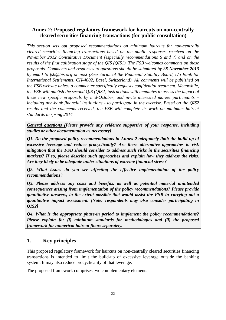## <span id="page-25-0"></span>**Annex 2: Proposed regulatory framework for haircuts on non-centrally cleared securities financing transactions (for public consultation)**

*This section sets out proposed recommendations on minimum haircuts for non-centrally cleared securities financing transactions based on the public responses received on the November 2012 Consultative Document (especially recommendations 6 and 7) and on the results of the first calibration stage of the QIS (QIS1). The FSB welcomes comments on these proposals. Comments and responses to questions should be submitted by 28 November 2013 by email to fsb@bis.org or post (Secretariat of the Financial Stability Board, c/o Bank for International Settlements, CH-4002, Basel, Switzerland). All comments will be published on the FSB website unless a commenter specifically requests confidential treatment. Meanwhile, the FSB will publish the second QIS (QIS2) instructions with templates to assess the impact of these new specific proposals by mid-October, and invite interested market participants – including non-bank financial institutions - to participate in the exercise. Based on the QIS2 results and the comments received, the FSB will complete its work on minimum haircut standards in spring 2014.*

*General questions (Please provide any evidence supportive of your response, including studies or other documentation as necessary)*

*Q1. Do the proposed policy recommendations in Annex 2 adequately limit the build-up of excessive leverage and reduce procyclicality? Are there alternative approaches to risk mitigation that the FSB should consider to address such risks in the securities financing markets? If so, please describe such approaches and explain how they address the risks. Are they likely to be adequate under situations of extreme financial stress?* 

*Q2. What issues do you see affecting the effective implementation of the policy recommendations?*

*Q3. Please address any costs and benefits, as well as potential material unintended consequences arising from implementation of the policy recommendations? Please provide quantitative answers, to the extent possible that would assist the FSB in carrying out a quantitative impact assessment. [Note: respondents may also consider participating in QIS2]* 

*Q4. What is the appropriate phase-in period to implement the policy recommendations? Please explain for (i) minimum standards for methodologies and (ii) the proposed framework for numerical haircut floors separately.* 

## **1. Key principles**

This proposed regulatory framework for haircuts on non-centrally cleared securities financing transactions is intended to limit the build-up of excessive leverage outside the banking system. It may also reduce procyclicality of that leverage.

The proposed framework comprises two complementary elements: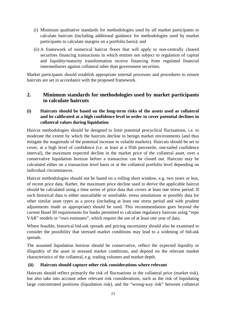- (i) Minimum qualitative standards for methodologies used by *all* market participants to calculate haircuts (including additional guidance for methodologies used by market participants to calculate margins on a portfolio basis); and
- (ii) A framework of numerical haircut floors that will apply to non-centrally cleared securities financing transactions in which entities not subject to regulation of capital and liquidity/maturity transformation receive financing from regulated financial intermediaries against collateral other than government securities.

Market participants should establish appropriate internal processes and procedures to ensure haircuts are set in accordance with the proposed framework.

## **2. Minimum standards for methodologies used by market participants to calculate haircuts**

### **(i) Haircuts should be based on the long-term risks of the assets used as collateral and be calibrated at a high confidence level in order to cover potential declines in collateral values during liquidation**

Haircut methodologies should be designed to limit potential procyclical fluctuations, i.e. to moderate the extent by which the haircuts decline in benign market environments (and thus mitigate the magnitude of the potential increase in volatile markets). Haircuts should be set to cover, at a high level of confidence (i.e. at least at a 95th percentile, one-tailed confidence interval), the maximum expected decline in the market price of the collateral asset, over a conservative liquidation horizon before a transaction can be closed out. Haircuts may be calculated either on a transaction level basis or at the collateral portfolio level depending on individual circumstances.

Haircut methodologies should not be based on a rolling short window, e.g. two years or less, of recent price data. Rather, the maximum price decline used to derive the applicable haircut should be calculated using a time series of price data that covers at least one stress period. If such historical data is either unavailable or unreliable, stress simulations or possibly data for other similar asset types as a proxy (including at least one stress period and with prudent adjustments made as appropriate) should be used. This recommendation goes beyond the current Basel III requirements for banks permitted to calculate regulatory haircuts using "repo VAR" models or "own estimates", which require the use of at least one year of data.

Where feasible, historical bid-ask spreads and pricing uncertainty should also be examined to consider the possibility that stressed market conditions may lead to a widening of bid-ask spreads.

The assumed liquidation horizon should be conservative, reflect the expected liquidity or illiquidity of the asset in stressed market conditions, and depend on the relevant market characteristics of the collateral, e.g. trading volumes and market depth.

#### **(ii) Haircuts should capture other risk considerations where relevant**

Haircuts should reflect primarily the risk of fluctuations in the collateral price (market risk), but also take into account other relevant risk considerations, such as the risk of liquidating large concentrated positions (liquidation risk), and the "wrong-way risk" between collateral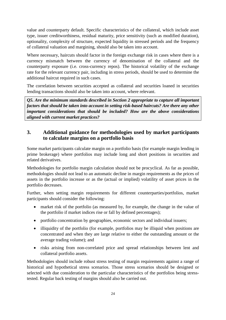value and counterparty default. Specific characteristics of the collateral, which include asset type, issuer creditworthiness, residual maturity, price sensitivity (such as modified duration), optionality, complexity of structure, expected liquidity in stressed periods and the frequency of collateral valuation and margining, should also be taken into account.

Where necessary, haircuts should factor in the foreign exchange risk in cases where there is a currency mismatch between the currency of denomination of the collateral and the counterparty exposure (i.e. cross-currency repos). The historical volatility of the exchange rate for the relevant currency pair, including in stress periods, should be used to determine the additional haircut required in such cases.

The correlation between securities accepted as collateral and securities loaned in securities lending transactions should also be taken into account, where relevant.

*Q5. Are the minimum standards described in Section 2 appropriate to capture all important factors that should be taken into account in setting risk-based haircuts? Are there any other important considerations that should be included? How are the above considerations aligned with current market practices?*

## **3. Additional guidance for methodologies used by market participants to calculate margins on a portfolio basis**

Some market participants calculate margin on a portfolio basis (for example margin lending in prime brokerage) where portfolios may include long and short positions in securities and related derivatives.

Methodologies for portfolio margin calculation should not be procyclical. As far as possible, methodologies should not lead to an automatic decline in margin requirements as the prices of assets in the portfolio increase or as the (actual or implied) volatility of asset prices in the portfolio decreases.

Further, when setting margin requirements for different counterparties/portfolios, market participants should consider the following:

- market risk of the portfolio (as measured by, for example, the change in the value of the portfolio if market indices rise or fall by defined percentages);
- portfolio concentration by geographies, economic sectors and individual issuers;
- illiquidity of the portfolio (for example, portfolios may be illiquid when positions are concentrated and when they are large relative to either the outstanding amount or the average trading volume); and
- risks arising from non-correlated price and spread relationships between lent and collateral portfolio assets.

Methodologies should include robust stress testing of margin requirements against a range of historical and hypothetical stress scenarios. Those stress scenarios should be designed or selected with due consideration to the particular characteristics of the portfolios being stresstested. Regular back testing of margins should also be carried out.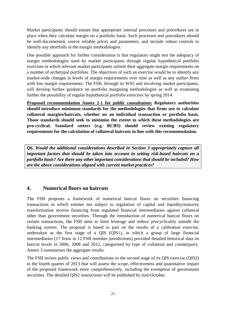Market participants should ensure that appropriate internal processes and procedures are in place when they calculate margin on a portfolio basis. Such processes and procedures should be well-documented, source reliable prices and parameters, and include robust controls to identify any shortfalls in the margin methodologies.

One possible approach for further consideration is that regulators might test the adequacy of margin methodologies used by market participants through regular hypothetical portfolio exercises in which relevant market participants submit their aggregate margin requirements on a number of archetypal portfolios. The objectives of such an exercise would be to identify any market-wide changes in levels of margin requirements over time as well as any outlier firms with low margin requirements. The FSB, through its WS5 and involving market participants, will develop further guidance on portfolio margining methodologies as well as examining further the possibility of regular hypothetical portfolio exercises by spring 2014.

**Proposed recommendation Annex 2-1 for public consultation: Regulatory authorities should introduce minimum standards for the methodologies that firms use to calculate collateral margins/haircuts, whether on an individual transaction or portfolio basis. Those standards should seek to minimise the extent to which these methodologies are pro-cyclical. Standard setters (e.g. BCBS) should review existing regulatory requirements for the calculation of collateral haircuts in line with this recommendation.**

*Q6. Would the additional considerations described in Section 3 appropriately capture all important factors that should be taken into account in setting risk-based haircuts on a portfolio basis? Are there any other important considerations that should be included? How are the above considerations aligned with current market practices?*

#### **4. Numerical floors on haircuts**

The FSB proposes a framework of numerical haircut floors on securities financing transactions in which entities not subject to regulation of capital and liquidity/maturity transformation receive financing from regulated financial intermediaries against collateral other than government securities. Through the introduction of numerical haircut floors on certain transactions, the FSB aims to limit leverage and reduce procyclicality outside the banking system. The proposal is based in part on the results of a calibration exercise, undertaken as the first stage of a QIS (QIS1), in which a group of large financial intermediaries (17 firms in 12 FSB member jurisdictions) provided detailed historical data on haircut levels in 2006, 2008 and 2012, categorised by type of collateral and counterparty. Annex 3 summarises the aggregate results.

The FSB invites public views and contributions to the second stage of its QIS exercise (QIS2) in the fourth quarter of 2013 that will assess the scope, effectiveness and quantitative impact of the proposed framework more comprehensively, including the exemption of government securities. The detailed QIS2 instructions will be published by mid-October.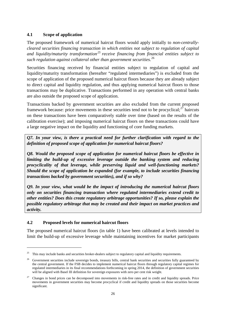#### **4.1 Scope of application**

The proposed framework of numerical haircut floors would apply initially to *non-centrallycleared securities financing transaction in which entities not subject to regulation of capital and liquidity/maturity transformation[25](#page-29-0) receive financing from financial entities subject to such regulation against collateral other than government securities*. [26](#page-29-1)

Securities financing received by financial entities subject to regulation of capital and liquidity/maturity transformation (hereafter "regulated intermediaries") is excluded from the scope of application of the proposed numerical haircut floors because they are already subject to direct capital and liquidity regulation, and thus applying numerical haircut floors to those transactions may be duplicative. Transactions performed in any operation with central banks are also outside the proposed scope of application.

Transactions backed by government securities are also excluded from the current proposed framework because: price movements in these securities tend not to be procyclical;<sup>[27](#page-29-2)</sup> haircuts on these transactions have been comparatively stable over time (based on the results of the calibration exercise); and imposing numerical haircut floors on these transactions could have a large negative impact on the liquidity and functioning of core funding markets.

*Q7. In your view, is there a practical need for further clarification with regard to the definition of proposed scope of application for numerical haircut floors?* 

*Q8. Would the proposed scope of application for numerical haircut floors be effective in limiting the build-up of excessive leverage outside the banking system and reducing procyclicality of that leverage, while preserving liquid and well-functioning markets? Should the scope of application be expanded (for example, to include securities financing transactions backed by government securities), and if so why?*

*Q9. In your view, what would be the impact of introducing the numerical haircut floors only on securities financing transaction where regulated intermediaries extend credit to other entities? Does this create regulatory arbitrage opportunities? If so, please explain the possible regulatory arbitrage that may be created and their impact on market practices and activity.* 

#### **4.2 Proposed levels for numerical haircut floors**

-

The proposed numerical haircut floors (in table 1) have been calibrated at levels intended to limit the build-up of excessive leverage while maintaining incentives for market participants

<span id="page-29-0"></span> $^{25}$  This may include banks and securities broker-dealers subject to regulatory capital and liquidity requirements.

<span id="page-29-1"></span><sup>&</sup>lt;sup>26</sup> Government securities include sovereign bonds, treasury bills, central bank securities and securities fully guaranteed by the central government. If the FSB decides to implement numerical haircut floors through regulatory capital regimes for regulated intermediaries in its final recommendations forthcoming in spring 2014, the definition of government securities will be aligned with Basel III definition for sovereign exposures with zero per cent risk weight.

<span id="page-29-2"></span><sup>27</sup> Changes in bond prices can be decomposed into movements in risk-free rates and in credit and liquidity spreads. Price movements in government securities may become procyclical if credit and liquidity spreads on those securities become significant.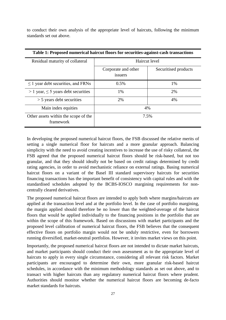to conduct their own analysis of the appropriate level of haircuts, following the minimum standards set out above.

| Residual maturity of collateral                   | Haircut level                  |                      |  |  |  |
|---------------------------------------------------|--------------------------------|----------------------|--|--|--|
|                                                   | Corporate and other<br>issuers | Securitised products |  |  |  |
| $\leq$ 1 year debt securities, and FRNs           | 0.5%                           | 1%                   |  |  |  |
| $> 1$ year, $\leq 5$ years debt securities        | 1%                             | 2%                   |  |  |  |
| $>$ 5 years debt securities                       | 2%                             | 4%                   |  |  |  |
| Main index equities                               | 4%                             |                      |  |  |  |
| Other assets within the scope of the<br>framework | 7.5%                           |                      |  |  |  |

**Table 1: Proposed numerical haircut floors for securities-against-cash transactions**

In developing the proposed numerical haircut floors, the FSB discussed the relative merits of setting a single numerical floor for haircuts and a more granular approach. Balancing simplicity with the need to avoid creating incentives to increase the use of risky collateral, the FSB agreed that the proposed numerical haircut floors should be risk-based, but not too granular, and that they should ideally not be based on credit ratings determined by credit rating agencies, in order to avoid mechanistic reliance on external ratings. Basing numerical haircut floors on a variant of the Basel III standard supervisory haircuts for securities financing transactions has the important benefit of consistency with capital rules and with the standardised schedules adopted by the BCBS-IOSCO margining requirements for noncentrally cleared derivatives.

The proposed numerical haircut floors are intended to apply both where margins/haircuts are applied at the transaction level and at the portfolio level. In the case of portfolio margining, the margin applied should therefore be no lower than the weighted-average of the haircut floors that would be applied individually to the financing positions in the portfolio that are within the scope of this framework. Based on discussions with market participants and the proposed level calibration of numerical haircut floors, the FSB believes that the consequent effective floors on portfolio margin would not be unduly restrictive, even for borrowers running diversified, market-neutral portfolios. However, it invites market views on this point.

Importantly, the proposed numerical haircut floors are not intended to dictate market haircuts, and market participants should conduct their own assessment as to the appropriate level of haircuts to apply in every single circumstance, considering all relevant risk factors. Market participants are encouraged to determine their own, more granular risk-based haircut schedules, in accordance with the minimum methodology standards as set out above, and to transact with higher haircuts than any regulatory numerical haircut floors where prudent. Authorities should monitor whether the numerical haircut floors are becoming de-facto market standards for haircuts.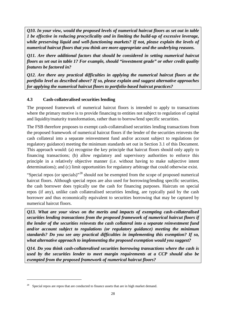*Q10. In your view, would the proposed levels of numerical haircut floors as set out in table 1 be effective in reducing procyclicality and in limiting the build-up of excessive leverage, while preserving liquid and well-functioning markets? If not, please explain the levels of numerical haircut floors that you think are more appropriate and the underlying reasons.* 

*Q11. Are there additional factors that should be considered in setting numerical haircut floors as set out in table 1? For example, should "investment grade" or other credit quality features be factored in?*

*Q12. Are there any practical difficulties in applying the numerical haircut floors at the portfolio level as described above? If so, please explain and suggest alternative approaches for applying the numerical haircut floors to portfolio-based haircut practices?* 

### **4.3 Cash-collateralised securities lending**

The proposed framework of numerical haircut floors is intended to apply to transactions where the primary motive is to provide financing to entities not subject to regulation of capital and liquidity/maturity transformation, rather than to borrow/lend specific securities.

The FSB therefore proposes to exempt cash-collateralised securities lending transactions from the proposed framework of numerical haircut floors if the lender of the securities reinvests the cash collateral into a separate reinvestment fund and/or account subject to regulations (or regulatory guidance) meeting the minimum standards set out in Section 3.1 of this Document. This approach would: (a) recognise the key principle that haircut floors should only apply to financing transactions; (b) allow regulatory and supervisory authorities to enforce this principle in a relatively objective manner (i.e. without having to make subjective intent determinations); and (c) limit opportunities for regulatory arbitrage that could otherwise exist.

"Special repos (or specials)"[28](#page-31-0) should not be exempted from the scope of proposed numerical haircut floors. Although special repos are also used for borrowing/lending specific securities, the cash borrower does typically use the cash for financing purposes. Haircuts on special repos (if any), unlike cash collateralised securities lending, are typically paid by the cash borrower and thus economically equivalent to securities borrowing that may be captured by numerical haircut floors.

*Q13. What are your views on the merits and impacts of exempting cash-collateralised securities lending transactions from the proposed framework of numerical haircut floors if the lender of the securities reinvests the cash collateral into a separate reinvestment fund and/or account subject to regulations (or regulatory guidance) meeting the minimum standards? Do you see any practical difficulties in implementing this exemption? If so, what alternative approach to implementing the proposed exemption would you suggest?*

*Q14. Do you think cash-collateralised securities borrowing transactions where the cash is used by the securities lender to meet margin requirements at a CCP should also be exempted from the proposed framework of numerical haircut floors?*

<u>.</u>

<span id="page-31-0"></span> $28$  Special repos are repos that are conducted to finance assets that are in high market demand.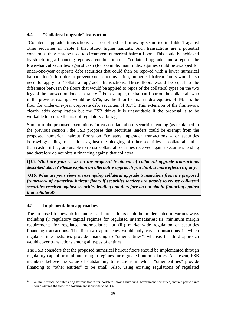#### **4.4 "Collateral upgrade" transactions**

"Collateral upgrade" transactions can be defined as borrowing securities in Table 1 against other securities in Table 1 that attract higher haircuts. Such transactions are a potential concern as they may be used to circumvent numerical haircut floors. This could be achieved by structuring a financing repo as a combination of a "collateral upgrade" and a repo of the lower-haircut securities against cash (for example, main index equities could be swapped for under-one-year corporate debt securities that could then be repo-ed with a lower numerical haircut floor). In order to prevent such circumvention, numerical haircut floors would also need to apply to "collateral upgrade" transactions. These floors would be equal to the difference between the floors that would be applied to repos of the collateral types on the two legs of the transaction done separately.<sup>[29](#page-32-0)</sup> For example, the haircut floor on the collateral swap in the previous example would be 3.5%, i.e. the floor for main index equities of 4% less the floor for under-one-year corporate debt securities of 0.5%. This extension of the framework clearly adds complication but the FSB thinks it is unavoidable if the proposal is to be workable to reduce the risk of regulatory arbitrage.

Similar to the proposed exemptions for cash collateralised securities lending (as explained in the previous section), the FSB proposes that securities lenders could be exempt from the proposed numerical haircut floors on "collateral upgrade" transactions – or securities borrowing/lending transactions against the pledging of other securities as collateral, rather than cash – if they are unable to re-use collateral securities received against securities lending and therefore do not obtain financing against that collateral.

*Q15. What are your views on the proposed treatment of collateral upgrade transactions described above? Please explain an alternative approach you think is more effective if any.*

*Q16. What are your views on exempting collateral upgrade transactions from the proposed framework of numerical haircut floors if securities lenders are unable to re-use collateral securities received against securities lending and therefore do not obtain financing against that collateral?*

#### **4.5 Implementation approaches**

-

The proposed framework for numerical haircut floors could be implemented in various ways including (i) regulatory capital regimes for regulated intermediaries; (ii) minimum margin requirements for regulated intermediaries; or (iii) market-wide regulation of securities financing transactions. The first two approaches would only cover transactions in which regulated intermediaries provide financing to "other entities", whereas the third approach would cover transactions among all types of entities.

The FSB considers that the proposed numerical haircut floors should be implemented through regulatory capital or minimum margin regimes for regulated intermediaries. At present, FSB members believe the value of outstanding transactions in which "other entities" provide financing to "other entities" to be small. Also, using existing regulations of regulated

<span id="page-32-0"></span><sup>29</sup> For the purpose of calculating haircut floors for collateral swaps involving government securities, market participants should assume the floor for government securities to be 0%.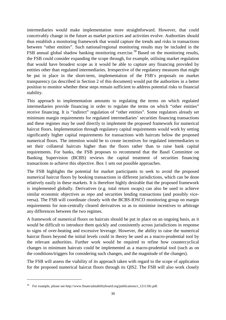intermediaries would make implementation more straightforward. However, that could conceivably change in the future as market practices and activities evolve. Authorities should thus establish a monitoring framework that would capture the trends and risks in transactions between "other entities". Such national/regional monitoring results may be included in the FSB annual global shadow banking monitoring exercise.<sup>[30](#page-33-0)</sup> Based on the monitoring results, the FSB could consider expanding the scope through, for example, utilising market regulation that would have broadest scope as it would be able to capture any financing provided by entities other than regulated intermediaries. Irrespective of the regulatory measures that might be put in place in the short-term, implementation of the FSB's proposals on market transparency (as described in Section 2 of this document) would put the authorities in a better position to monitor whether these steps remain sufficient to address potential risks to financial stability.

This approach to implementation amounts to regulating the terms on which regulated intermediaries provide financing in order to regulate the terms on which "other entities" receive financing. It is "indirect" regulation of "other entities". Some regulators already set minimum margin requirements for regulated intermediaries' securities financing transactions and these regimes may be used directly to implement the proposed framework for numerical haircut floors. Implementation through regulatory capital requirements would work by setting significantly higher capital requirements for transactions with haircuts below the proposed numerical floors. The intention would be to create incentives for regulated intermediaries to set their collateral haircuts higher than the floors rather than to raise bank capital requirements. For banks, the FSB proposes to recommend that the Basel Committee on Banking Supervision (BCBS) reviews the capital treatment of securities financing transactions to achieve this objective. Box 1 sets out possible approaches.

The FSB highlights the potential for market participants to seek to avoid the proposed numerical haircut floors by booking transactions in different jurisdictions, which can be done relatively easily in these markets. It is therefore highly desirable that the proposed framework is implemented globally. Derivatives (e.g. total return swaps) can also be used to achieve similar economic objectives as repo and securities lending transactions (and possibly viceversa). The FSB will coordinate closely with the BCBS-IOSCO monitoring group on margin requirements for non-centrally cleared derivatives so as to minimise incentives to arbitrage any differences between the two regimes.

A framework of numerical floors on haircuts should be put in place on an ongoing basis, as it would be difficult to introduce them quickly and consistently across jurisdictions in response to signs of over-heating and excessive leverage. However, the ability to raise the numerical haircut floors beyond the initial levels could in theory be used as a macro-prudential tool by the relevant authorities. Further work would be required to refine how countercyclical changes in minimum haircuts could be implemented as a macro-prudential tool (such as on the conditions/triggers for considering such changes, and the magnitude of the changes).

The FSB will assess the viability of its approach taken with regard to the scope of application for the proposed numerical haircut floors through its QIS2. The FSB will also work closely

<u>.</u>

<span id="page-33-0"></span> $30$  For example, please see [http://www.financialstabilityboard.org/publications/r\\_121118c.pdf.](http://www.financialstabilityboard.org/publications/r_121118c.pdf)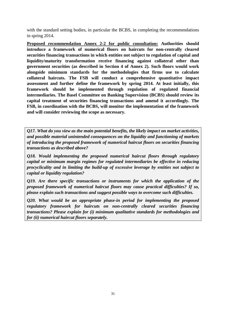with the standard setting bodies, in particular the BCBS, in completing the recommendations in spring 2014.

**Proposed recommendation Annex 2-2 for public consultation: Authorities should introduce a framework of numerical floors on haircuts for non-centrally cleared securities financing transactions in which entities not subject to regulation of capital and liquidity/maturity transformation receive financing against collateral other than government securities (as described in Section 4 of Annex 2). Such floors would work alongside minimum standards for the methodologies that firms use to calculate collateral haircuts. The FSB will conduct a comprehensive quantitative impact assessment and further define the framework by spring 2014. At least initially, this framework should be implemented through regulation of regulated financial intermediaries. The Basel Committee on Banking Supervision (BCBS) should review its capital treatment of securities financing transactions and amend it accordingly. The FSB, in coordination with the BCBS, will monitor the implementation of the framework and will consider reviewing the scope as necessary.**

*Q17. What do you view as the main potential benefits, the likely impact on market activities, and possible material unintended consequences on the liquidity and functioning of markets of introducing the proposed framework of numerical haircut floors on securities financing transactions as described above?*

*Q18. Would implementing the proposed numerical haircut floors through regulatory capital or minimum margin regimes for regulated intermediaries be effective in reducing procyclicality and in limiting the build-up of excessive leverage by entities not subject to capital or liquidity regulation?* 

*Q19. Are there specific transactions or instruments for which the application of the proposed framework of numerical haircut floors may cause practical difficulties? If so, please explain such transactions and suggest possible ways to overcome such difficulties.*

*Q20. What would be an appropriate phase-in period for implementing the proposed regulatory framework for haircuts on non-centrally cleared securities financing transactions? Please explain for (i) minimum qualitative standards for methodologies and for (ii) numerical haircut floors separately.*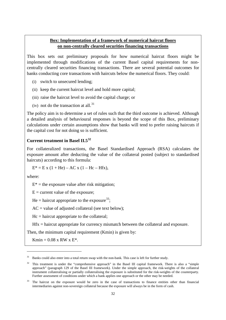#### **Box: Implementation of a framework of numerical haircut floors on non-centrally cleared securities financing transactions**

This box sets out preliminary proposals for how numerical haircut floors might be implemented through modifications of the current Basel capital requirements for noncentrally cleared securities financing transactions. There are several potential outcomes for banks conducting core transactions with haircuts below the numerical floors. They could:

- (i) switch to unsecured lending;
- (ii) keep the current haircut level and hold more capital;
- (iii) raise the haircut level to avoid the capital charge; or
- (iv) not do the transaction at all. $31$

The policy aim is to determine a set of rules such that the third outcome is achieved. Although a detailed analysis of behavioural responses is beyond the scope of this Box, preliminary calculations under certain assumptions show that banks will tend to prefer raising haircuts if the capital cost for not doing so is sufficient.

#### **Current treatment in Basel II.5[32](#page-35-1)**

For collateralized transactions, the Basel Standardised Approach (RSA) calculates the exposure amount after deducting the value of the collateral posted (subject to standardised haircuts) according to this formula:

 $E^* = E x (1 + He) - AC x (1 - He - Hfx),$ 

where:

-

 $E^*$  = the exposure value after risk mitigation;

 $E =$  current value of the exposure;

He = haircut appropriate to the exposure<sup>33</sup>;

 $AC = value of adjusted collateral (see text below);$ 

Hc = haircut appropriate to the collateral;

Hfx = haircut appropriate for currency mismatch between the collateral and exposure.

Then, the minimum capital requirement (Kmin) is given by:

 $Kmin = 0.08$  x RW x E<sup>\*</sup>.

<span id="page-35-0"></span><sup>&</sup>lt;sup>31</sup> Banks could also enter into a total return swap with the non-bank. This case is left for further study.

<span id="page-35-1"></span><sup>&</sup>lt;sup>32</sup> This treatment is under the "comprehensive approach" in the Basel III capital framework. There is also a "simple approach" (paragraph 129 of the Basel III framework). Under the simple approach, the risk-weights of the collateral instrument collateralising or partially collateralising the exposure is substituted for the risk-weights of the counterparty. Further assessment of conditions under which a bank applies one approach or the other may be needed.

<span id="page-35-2"></span><sup>33</sup> The haircut on the exposure would be zero in the case of transactions to finance entities other than financial intermediaries against non-sovereign collateral because the exposure will always be in the form of cash.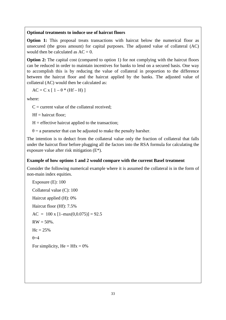#### **Optional treatments to induce use of haircut floors**

**Option 1:** This proposal treats transactions with haircut below the numerical floor as unsecured (the gross amount) for capital purposes. The adjusted value of collateral (AC) would then be calculated as  $AC = 0$ .

**Option 2:** The capital cost (compared to option 1) for not complying with the haircut floors can be reduced in order to maintain incentives for banks to lend on a secured basis. One way to accomplish this is by reducing the value of collateral in proportion to the difference between the haircut floor and the haircut applied by the banks. The adjusted value of collateral (AC) would then be calculated as:

 $AC = C x [1 - \theta * (Hf - H)]$ 

where:

 $C =$  current value of the collateral received:

 $Hf =$  haircut floor:

 $H =$  effective haircut applied to the transaction;

 $\theta$  = a parameter that can be adjusted to make the penalty harsher.

The intention is to deduct from the collateral value only the fraction of collateral that falls under the haircut floor before plugging all the factors into the RSA formula for calculating the exposure value after risk mitigation (E\*).

#### **Example of how options 1 and 2 would compare with the current Basel treatment**

Consider the following numerical example where it is assumed the collateral is in the form of non-main index equities.

Exposure (E): 100 Collateral value (C): 100 Haircut applied (H): 0% Haircut floor (Hf): 7.5%  $AC = 100 \text{ x } [1 - max(0, 0.075)] = 92.5$  $RW = 50\%$ .  $Hc = 25%$  $\theta = 4$ For simplicity,  $He = Hfx = 0%$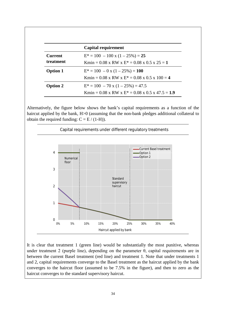|                  | Capital requirement                                             |
|------------------|-----------------------------------------------------------------|
| <b>Current</b>   | $E^* = 100 - 100 \times (1 - 25\%) = 25$                        |
| <b>treatment</b> | Kmin = $0.08$ x RW x E <sup>*</sup> = $0.08$ x $0.5$ x $25 = 1$ |
| <b>Option 1</b>  | $E^* = 100 - 0 \times (1 - 25\%) = 100$                         |
|                  | $Kmin = 0.08$ x RW x $E^* = 0.08$ x $0.5$ x $100 = 4$           |
| <b>Option 2</b>  | $E^* = 100 - 70$ x $(1 - 25\%) = 47.5$                          |
|                  | $Kmin = 0.08$ x RW x $E^* = 0.08$ x 0.5 x 47.5 = 1.9            |

Alternatively, the figure below shows the bank's capital requirements as a function of the haircut applied by the bank, H>0 (assuming that the non-bank pledges additional collateral to obtain the required funding:  $C = E / (1-H)$ .



It is clear that treatment 1 (green line) would be substantially the most punitive, whereas under treatment 2 (purple line), depending on the parameter  $\theta$ , capital requirements are in between the current Basel treatment (red line) and treatment 1. Note that under treatments 1 and 2, capital requirements converge to the Basel treatment as the haircut applied by the bank converges to the haircut floor (assumed to be 7.5% in the figure), and then to zero as the haircut converges to the standard supervisory haircut.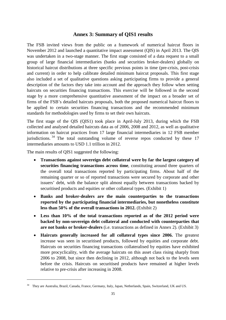#### **Annex 3: Summary of QIS1 results**

<span id="page-38-0"></span>The FSB invited views from the public on a framework of numerical haircut floors in November 2012 and launched a quantitative impact assessment (QIS) in April 2013. The QIS was undertaken in a two-stage manner. The first stage consisted of a data request to a small group of large financial intermediaries (banks and securities broker-dealers) globally on historical haircut distributions at three specific previous points in time (pre-crisis, post-crisis and current) in order to help calibrate detailed minimum haircut proposals. This first stage also included a set of qualitative questions asking participating firms to provide a general description of the factors they take into account and the approach they follow when setting haircuts on securities financing transactions. This exercise will be followed in the second stage by a more comprehensive quantitative assessment of the impact on a broader set of firms of the FSB's detailed haircuts proposals, both the proposed numerical haircut floors to be applied to certain securities financing transactions and the recommended minimum standards for methodologies used by firms to set their own haircuts.

The first stage of the QIS (QIS1) took place in April-July 2013, during which the FSB collected and analysed detailed haircuts data as of 2006, 2008 and 2012, as well as qualitative information on haircut practices from 17 large financial intermediaries in 12 FSB member jurisdictions.<sup>[34](#page-38-1)</sup> The total outstanding volume of reverse repos conducted by these 17 intermediaries amounts to USD 1.1 trillion in 2012.

The main results of QIS1 suggested the following:

<u>.</u>

- **Transactions against sovereign debt collateral were by far the largest category of securities financing transactions across time**, constituting around three quarters of the overall total transactions reported by participating firms. About half of the remaining quarter or so of reported transactions were secured by corporate and other issuers' debt, with the balance split almost equally between transactions backed by securitised products and equities or other collateral types. (Exhibit 1)
- **Banks and broker-dealers are the main counterparties to the transactions reported by the participating financial intermediaries, but nonetheless constitute**  less than 50% of the overall transactions in 2012. (Exhibit 2)
- **Less than 10% of the total transactions reported as of the 2012 period were backed by non-sovereign debt collateral and conducted with counterparties that are not banks or broker-dealers** (i.e. transactions as defined in Annex 2). (Exhibit 3)
- **Haircuts generally increased for all collateral types since 2006.** The greatest increase was seen in securitised products, followed by equities and corporate debt. Haircuts on securities financing transactions collateralised by equities have exhibited more procyclicality, with the average haircuts on this asset class rising sharply from 2006 to 2008, but since then declining in 2012, although not back to the levels seen before the crisis. Haircuts on securitised products have remained at higher levels relative to pre-crisis after increasing in 2008.

<span id="page-38-1"></span><sup>&</sup>lt;sup>34</sup> They are Australia, Brazil, Canada, France, Germany, Italy, Japan, Netherlands, Spain, Switzerland, UK and US.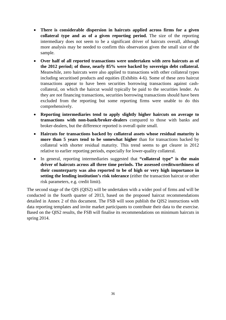- **There is considerable dispersion in haircuts applied across firms for a given collateral type and as of a given reporting period.** The size of the reporting intermediary does not seem to be a significant driver of haircuts overall, although more analysis may be needed to confirm this observation given the small size of the sample.
- **Over half of all reported transactions were undertaken with zero haircuts as of the 2012 period; of those, nearly 85% were backed by sovereign debt collateral.** Meanwhile, zero haircuts were also applied to transactions with other collateral types including securitised products and equities (Exhibits 4-6). Some of these zero haircut transactions appear to have been securities borrowing transactions against cashcollateral, on which the haircut would typically be paid to the securities lender. As they are not financing transactions, securities borrowing transactions should have been excluded from the reporting but some reporting firms were unable to do this comprehensively.
- **Reporting intermediaries tend to apply slightly higher haircuts on average to transactions with non-bank/broker-dealers** compared to those with banks and broker-dealers, but the difference reported is overall quite small.
- **Haircuts for transactions backed by collateral assets whose residual maturity is more than 5 years tend to be somewhat higher** than for transactions backed by collateral with shorter residual maturity. This trend seems to get clearer in 2012 relative to earlier reporting periods, especially for lower-quality collateral.
- In general, reporting intermediaries suggested that **"collateral type" is the main driver of haircuts across all three time periods. The assessed creditworthiness of their counterparty was also reported to be of high or very high importance in setting the lending institution's risk tolerance** (either the transaction haircut or other risk parameters, e.g. credit limit).

The second stage of the QIS (QIS2) will be undertaken with a wider pool of firms and will be conducted in the fourth quarter of 2013, based on the proposed haircut recommendations detailed in Annex 2 of this document. The FSB will soon publish the QIS2 instructions with data reporting templates and invite market participants to contribute their data to the exercise. Based on the QIS2 results, the FSB will finalise its recommendations on minimum haircuts in spring 2014.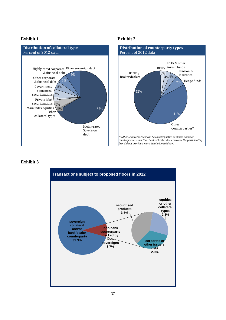**Exhibit 1 Exhibit 2**



**Exhibit 3**

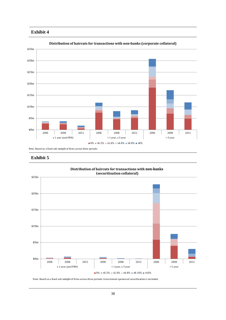



#### **Exhibit 5**



Note: Based on a fixed sub-sample of firms across three periods. Government-sponsored securitisation is excluded.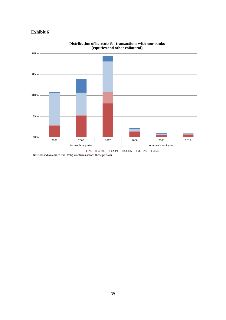#### **Exhibit 6**

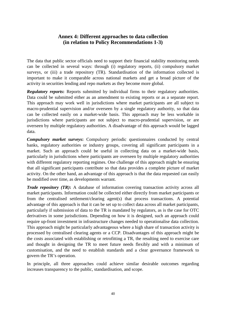### **Annex 4: Different approaches to data collection (in relation to Policy Recommendations 1-3)**

<span id="page-43-0"></span>The data that public sector officials need to support their financial stability monitoring needs can be collected in several ways: through (i) regulatory reports, (ii) compulsory market surveys, or (iii) a trade repository (TR). Standardisation of the information collected is important to make it comparable across national markets and get a broad picture of the activity in securities lending and repo markets as they become more global.

*Regulatory reports***:** Reports submitted by individual firms to their regulatory authorities. Data could be submitted either as an amendment to existing reports or as a separate report. This approach may work well in jurisdictions where market participants are all subject to macro-prudential supervision and/or overseen by a single regulatory authority, so that data can be collected easily on a market-wide basis. This approach may be less workable in jurisdictions where participants are not subject to macro-prudential supervision, or are overseen by multiple regulatory authorities. A disadvantage of this approach would be lagged data.

*Compulsory market surveys***:** Compulsory periodic questionnaires conducted by central banks, regulatory authorities or industry groups, covering all significant participants in a market. Such an approach could be useful in collecting data on a market-wide basis, particularly in jurisdictions where participants are overseen by multiple regulatory authorities with different regulatory reporting regimes. One challenge of this approach might be ensuring that all significant participants contribute so that data provides a complete picture of market activity. On the other hand, an advantage of this approach is that the data requested can easily be modified over time, as developments warrant.

*Trade repository (TR)*: A database of information covering transaction activity across all market participants. Information could be collected either directly from market participants or from the centralised settlement/clearing agent(s) that process transactions. A potential advantage of this approach is that it can be set up to collect data across all market participants, particularly if submission of data to the TR is mandated by regulators, as is the case for OTC derivatives in some jurisdictions. Depending on how it is designed, such an approach could require up-front investment in infrastructure changes needed to operationalise data collection. This approach might be particularly advantageous where a high share of transaction activity is processed by centralised clearing agents or a CCP. Disadvantages of this approach might be the costs associated with establishing or retrofitting a TR, the resulting need to exercise care and thought in designing the TR to meet future needs flexibly and with a minimum of customisation, and the need to establish standards and a clear governance framework to govern the TR's operation.

In principle, all three approaches could achieve similar desirable outcomes regarding increases transparency to the public, standardisation, and scope.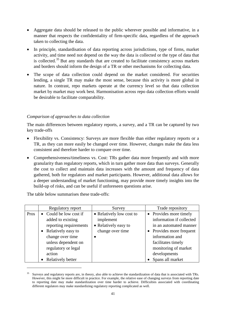- Aggregate data should be released to the public wherever possible and informative, in a manner that respects the confidentiality of firm-specific data, regardless of the approach taken to collecting the data.
- In principle, standardisation of data reporting across jurisdictions, type of firms, market activity, and time need not depend on the way the data is collected or the type of data that is collected.<sup>[35](#page-44-0)</sup> But any standards that are created to facilitate consistency across markets and borders should inform the design of a TR or other mechanisms for collecting data.
- The scope of data collection could depend on the market considered. For securities lending, a single TR may make the most sense, because this activity is more global in nature. In contrast, repo markets operate at the currency level so that data collection market by market may work best. Harmonisation across repo data collection efforts would be desirable to facilitate comparability.

#### *Comparison of approaches to data collection*

The main differences between regulatory reports, a survey, and a TR can be captured by two key trade-offs

- Flexibility vs. Consistency: Surveys are more flexible than either regulatory reports or a TR, as they can more easily be changed over time. However, changes make the data less consistent and therefore harder to compare over time.
- Comprehensiveness/timeliness vs. Cost: TRs gather data more frequently and with more granularity than regulatory reports, which in turn gather more data than surveys. Generally the cost to collect and maintain data increases with the amount and frequency of data gathered, both for regulators and market participants. However, additional data allows for a deeper understanding of market functioning, may provide more timely insights into the build-up of risks, and can be useful if unforeseen questions arise.

The table below summarises these trade-offs:

|      | Regulatory report        | Survey                   | Trade repository         |
|------|--------------------------|--------------------------|--------------------------|
| Pros | • Could be low cost if   | • Relatively low cost to | • Provides more timely   |
|      | added to existing        | implement                | information if collected |
|      | reporting requirements   | • Relatively easy to     | in an automated manner   |
|      | • Relatively easy to     | change over time         | • Provides more frequent |
|      | change over time         |                          | information and          |
|      | unless dependent on      |                          | facilitates timely       |
|      | regulatory or legal      |                          | monitoring of market     |
|      | action                   |                          | developments             |
|      | <b>Relatively better</b> |                          | Spans all market         |

<span id="page-44-0"></span>Surveys and regulatory reports are, in theory, also able to achieve the standardization of data that is associated with TRs. However, this might be more difficult in practice. For example, the relative ease of changing surveys from reporting date to reporting date may make standardization over time harder to achieve. Difficulties associated with coordinating different regulators may make standardizing regulatory reporting complicated as well.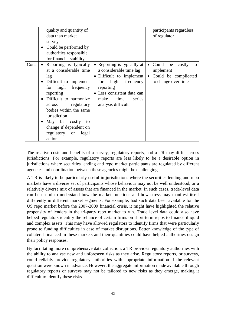| quality and quantity of<br>data than market<br>survey<br>Could be performed by<br>$\bullet$<br>authorities responsible<br>for financial stability                                                                                                                                                                                                                       |                                                                                                                                                                                                           | participants regardless<br>of regulator                                                              |
|-------------------------------------------------------------------------------------------------------------------------------------------------------------------------------------------------------------------------------------------------------------------------------------------------------------------------------------------------------------------------|-----------------------------------------------------------------------------------------------------------------------------------------------------------------------------------------------------------|------------------------------------------------------------------------------------------------------|
| Cons<br>Reporting is typically<br>at a considerable time<br>lag<br>Difficult to implement<br>$\bullet$<br>high<br>frequency<br>for<br>reporting<br>Difficult to harmonize<br>$\bullet$<br>regulatory<br>across<br>bodies within the same<br>jurisdiction<br>May be<br>costly<br>to<br>$\bullet$<br>change if dependent on<br>regulatory<br>legal<br><b>or</b><br>action | • Reporting is typically at<br>a considerable time lag<br>• Difficult to implement<br>for<br>high<br>frequency<br>reporting<br>• Less consistent data can<br>make<br>time<br>series<br>analysis difficult | Could<br>be<br>costly<br>to<br>$\bullet$<br>implement<br>Could be complicated<br>to change over time |

The relative costs and benefits of a survey, regulatory reports, and a TR may differ across jurisdictions. For example, regulatory reports are less likely to be a desirable option in jurisdictions where securities lending and repo market participants are regulated by different agencies and coordination between these agencies might be challenging.

A TR is likely to be particularly useful in jurisdictions where the securities lending and repo markets have a diverse set of participants whose behaviour may not be well understood, or a relatively diverse mix of assets that are financed in the market. In such cases, trade-level data can be useful to understand how the market functions and how stress may manifest itself differently in different market segments. For example, had such data been available for the US repo market before the 2007-2009 financial crisis, it might have highlighted the relative propensity of lenders in the tri-party repo market to run. Trade level data could also have helped regulators identify the reliance of certain firms on short-term repos to finance illiquid and complex assets. This may have allowed regulators to identify firms that were particularly prone to funding difficulties in case of market disruptions. Better knowledge of the type of collateral financed in these markets and their quantities could have helped authorities design their policy responses.

By facilitating more comprehensive data collection, a TR provides regulatory authorities with the ability to analyse new and unforeseen risks as they arise. Regulatory reports, or surveys, could reliably provide regulatory authorities with appropriate information if the relevant question were known in advance. However, the aggregate information made available through regulatory reports or surveys may not be tailored to new risks as they emerge, making it difficult to identify these risks.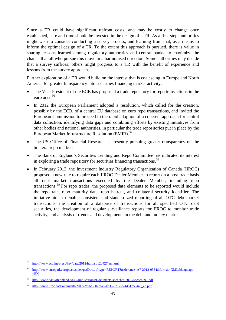Since a TR could have significant upfront costs, and may be costly to change once established, care and time should be invested in the design of a TR. As a first step, authorities might wish to consider conducting a survey process, and learning from that, as a means to inform the optimal design of a TR. To the extent this approach is pursued, there is value in sharing lessons learned among regulatory authorities and central banks, to maximize the chance that all who pursue this move in a harmonised direction. Some authorities may decide that a survey suffices; others might progress to a TR with the benefit of experience and lessons from the survey approach.

Further exploration of a TR would build on the interest that is coalescing in Europe and North America for greater transparency into securities financing market activity:

- The Vice-President of the ECB has proposed a trade repository for repo transactions in the euro area.[36](#page-46-0)
- In 2012 the European Parliament adopted a resolution, which called for the creation, possibly by the ECB, of a central EU database on euro repo transactions, and invited the European Commission to proceed to the rapid adoption of a coherent approach for central data collection, identifying data gaps and combining efforts by existing initiatives from other bodies and national authorities, in particular the trade repositories put in place by the European Market Infrastructure Resolution (EMIR).<sup>[37](#page-46-1)</sup>
- The US Office of Financial Research is presently pursuing greater transparency on the bilateral repo market.
- The Bank of England's Securities Lending and Repo Committee has indicated its interest in exploring a trade repository for securities financing transactions.<sup>[38](#page-46-2)</sup>
- In February 2013, the Investment Industry Regulatory Organization of Canada (IIROC) proposed a new rule to require each IIROC Dealer Member to report on a post-trade basis all debt market transactions executed by the Dealer Member, including repo transactions.<sup>[39](#page-46-3)</sup> For repo trades, the proposed data elements to be reported would include the repo rate, repo maturity date, repo haircut, and collateral security identifier. The initiative aims to enable consistent and standardized reporting of all OTC debt market transactions, the creation of a database of transactions for all specified OTC debt securities, the development of regular surveillance reports for IIROC to monitor trade activity, and analysis of trends and developments in the debt and money markets.

<span id="page-46-0"></span><sup>36</sup> <http://www.ecb.int/press/key/date/2012/html/sp120427.en.html>

<span id="page-46-1"></span><sup>37</sup> [http://www.europarl.europa.eu/sides/getDoc.do?type=REPORT&reference=A7-2012-0354&format=XML&language](http://www.europarl.europa.eu/sides/getDoc.do?type=REPORT&reference=A7-2012-0354&format=XML&language=EN)  $E<sub>EN</sub>$ 

<span id="page-46-2"></span><sup>38</sup> <http://www.bankofengland.co.uk/publications/Documents/speeches/2012/speech591.pdf>

<span id="page-46-3"></span><sup>39</sup> [http://www.iiroc.ca/Documents/2013/2e5bf850-7ea6-4b36-9217-f744517554a9\\_en.pdf](http://www.iiroc.ca/Documents/2013/2e5bf850-7ea6-4b36-9217-f744517554a9_en.pdf)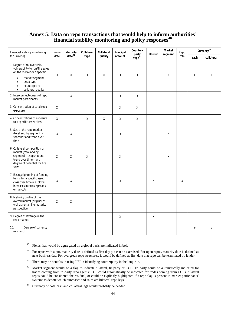## <span id="page-47-0"></span>**Annex 5: Data on repo transactions that would help to inform authorities' financial stability monitoring and policy responses[40](#page-47-1)**

| Financial stability monitoring                                                                                                                                                                                           | Value | Maturity     |      | Collateral | Collateral  | Principal          | Counter-<br>party | Haircut                             | Market | Repo |            | $Currency^{44}$ |
|--------------------------------------------------------------------------------------------------------------------------------------------------------------------------------------------------------------------------|-------|--------------|------|------------|-------------|--------------------|-------------------|-------------------------------------|--------|------|------------|-----------------|
| focus (repo)                                                                                                                                                                                                             | date  | $date^{41}$  | type | quality    | amount      | type <sup>42</sup> |                   | $\mathop{\mathsf{segment}}_{_{43}}$ | rate   | cash | collateral |                 |
| 1. Degree of rollover risk /<br>vulnerability to run/fire sales<br>on the market or a specific<br>market segment<br>$\bullet$<br>asset type<br>$\bullet$<br>counterparty<br>$\bullet$<br>collateral quality<br>$\bullet$ | Χ     | χ            | Χ    | Χ          | $\mathsf X$ | X                  |                   | X                                   |        | X    | Χ          |                 |
| 2. Interconnectedness of repo<br>market participants                                                                                                                                                                     |       | X            |      |            | Χ           | X                  |                   |                                     |        |      |            |                 |
| 3. Concentration of total repo<br>exposure                                                                                                                                                                               | Χ     |              |      |            | Χ           | X                  |                   |                                     |        |      |            |                 |
| 4. Concentrations of exposure<br>to a specific asset class                                                                                                                                                               | X     |              | X    | X          | X           | X                  |                   |                                     |        |      |            |                 |
| 5. Size of the repo market<br>(total and by segment) -<br>snapshot and trend over<br>time                                                                                                                                | Χ     | Χ            |      |            | Χ           |                    |                   | Χ                                   |        |      |            |                 |
| 6. Collateral composition of<br>market (total and by<br>segment) - snapshot and<br>trend over time - and<br>degree of potential for fire<br>sales                                                                        | X     | χ            | χ    |            | Χ           |                    |                   | Χ                                   |        |      |            |                 |
| 7. Easing/tightening of funding<br>terms for a specific asset<br>class over time (i.e. global<br>increases in rates, spreads<br>or haircuts)                                                                             | X     | $\mathsf{X}$ |      |            | X           |                    | $\sf X$           |                                     | X      |      |            |                 |
| 8. Maturity profile of the<br>overall market (original as<br>well as remaining maturity<br>perspective)                                                                                                                  | Χ     | X            |      |            |             |                    |                   |                                     |        |      |            |                 |
| 9. Degree of leverage in the<br>repo market                                                                                                                                                                              |       |              |      |            | $\mathsf X$ |                    | $\mathsf{X}$      |                                     |        |      |            |                 |
| Degree of currency<br>10.<br>mismatch                                                                                                                                                                                    |       |              |      |            |             |                    |                   |                                     |        | Χ    | X          |                 |

<span id="page-47-1"></span><sup>40</sup> Fields that would be aggregated on a global basis are indicated in bold.

- <span id="page-47-2"></span><sup>41</sup> For repos with a put, maturity date is defined as first day put can be exercised. For open repos, maturity date is defined as next business day. For evergreen repo structures, it would be defined as first date that repo can be terminated by lender.
- <span id="page-47-3"></span> $42$  There may be benefits in using LEI in identifying counterparty in the long-run.
- <span id="page-47-4"></span><sup>43</sup> Market segment would be a flag to indicate bilateral, tri-party or CCP. Tri-party could be automatically indicated for trades coming from tri-party repo agents; CCP could automatically be indicated for trades coming from CCPs; bilateral repos could be considered the residual, or could be explicitly highlighted if a repo flag is present in market participants' systems to denote which purchases and sales are bilateral repo legs.
- <span id="page-47-5"></span><sup>44</sup> Currency of both cash and collateral legs would probably be needed.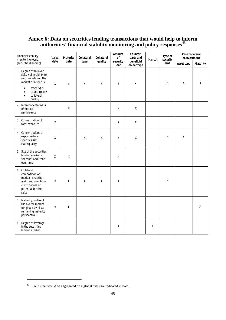## <span id="page-48-0"></span>**Annex 6: Data on securities lending transactions that would help to inform authorities' financial stability monitoring and policy responses**[45](#page-48-1)

| Financial stability<br>monitoring focus                                                                                                                               | Value       | Maturity    | Collateral  | Collateral  | Amount<br>of     | Counter-<br>party and    | Haircut | Type of<br>security | Cash collateral<br>reinvestment |          |
|-----------------------------------------------------------------------------------------------------------------------------------------------------------------------|-------------|-------------|-------------|-------------|------------------|--------------------------|---------|---------------------|---------------------------------|----------|
| (securities Lending)                                                                                                                                                  | date        | date        | type        | quality     | security<br>lent | beneficial<br>owner type |         | lent                | Asset type                      | Maturity |
| 1. Degree of rollover<br>risk / vulnerability to<br>run/fire sales on the<br>market or a specific<br>asset type<br>$\bullet$<br>counterparty<br>collateral<br>quality | X           | X           | X           | X           | $\mathsf{X}$     | X                        |         | χ                   | Χ                               | X        |
| 2. Interconnectedness<br>of market<br>participants                                                                                                                    |             | $\mathsf X$ |             |             | $\mathsf X$      | $\mathsf X$              |         |                     |                                 |          |
| 3. Concentration of<br>total exposure                                                                                                                                 | X           |             |             |             | $\mathsf{X}$     | $\mathsf X$              |         |                     |                                 |          |
| 4. Concentrations of<br>exposure to a<br>specific asset<br>class/quality                                                                                              | $\mathsf X$ |             | $\mathsf X$ | $\mathsf X$ | $\mathsf X$      | $\mathsf X$              |         | X                   | $\mathsf X$                     |          |
| 5. Size of the securities<br>lending market -<br>snapshot and trend<br>over time                                                                                      | X           | χ           |             |             | $\mathsf X$      |                          |         |                     |                                 |          |
| 6. Collateral<br>composition of<br>market-snapshot<br>and trend over time<br>- and degree of<br>potential for fire<br>sales                                           | X           | Χ           | $\mathsf X$ | Χ           | $\mathsf X$      |                          |         | X                   |                                 |          |
| 7. Maturity profile of<br>the overall market<br>(original as well as<br>remaining maturity<br>perspective)                                                            | X           | X           |             |             |                  |                          |         |                     |                                 | X        |
| 8. Degree of leverage<br>in the securities<br>lending market                                                                                                          |             |             |             |             | Χ                |                          | Χ       |                     |                                 |          |

<u>.</u>

<span id="page-48-1"></span><sup>45</sup> Fields that would be aggregated on a global basis are indicated in bold.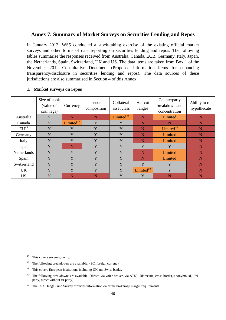#### <span id="page-49-0"></span>**Annex 7: Summary of Market Surveys on Securities Lending and Repos**

In January 2013, WS5 conducted a stock-taking exercise of the existing official market surveys and other forms of data reporting on securities lending and repos. The following tables summarise the responses received from Australia, Canada, ECB, Germany, Italy, Japan, the Netherlands, Spain, Switzerland, UK and US. The data items are taken from Box 1 of the November 2012 Consultative Document (Proposed information items for enhancing transparency/disclosure in securities lending and repos). The data sources of these jurisdictions are also summarised in Section 4 of this Annex.

|  | 1. Market surveys on repos |  |  |  |
|--|----------------------------|--|--|--|
|--|----------------------------|--|--|--|

|             | Size of book<br>(value of<br>cash legs) | Currency              | Tenor<br>composition | Collateral<br>asset class | Haircut<br>ranges     | Counterparty<br>breakdown and<br>concentration | Ability to re-<br>hypothecate |
|-------------|-----------------------------------------|-----------------------|----------------------|---------------------------|-----------------------|------------------------------------------------|-------------------------------|
| Australia   | Y                                       | N                     | N                    | Limited <sup>46</sup>     | N                     | Limited                                        | N                             |
| Canada      | Y                                       | Limited <sup>47</sup> | Y                    | Y                         | N                     | N                                              | N                             |
| $EU^{48}$   | Y                                       | Y                     | Y                    | Y                         | N                     | Limited <sup>49</sup>                          | N                             |
| Germany     | Y                                       | Y                     | Y                    | Y                         | N                     | Limited                                        | N                             |
| Italy       | Y                                       | Y                     | Y                    | Y                         | N                     | Limited                                        | N                             |
| Japan       | Y                                       | N                     | Y                    | Y                         | Y                     | Y                                              | N                             |
| Netherlands | Y                                       | Y                     | Y                    | Y                         | N                     | Limited                                        | N                             |
| Spain       | Y                                       | Y                     | Y                    | Y                         | N                     | Limited                                        | N                             |
| Switzerland | Y                                       | Y                     | Y                    | Y                         | Y                     | Y                                              | N                             |
| <b>UK</b>   | Y                                       | Y                     | Y                    | Y                         | Limited <sup>50</sup> | Y                                              | N                             |
| <b>US</b>   | Y                                       | N                     | N                    | Y                         | Y                     | N                                              | N                             |

<span id="page-49-1"></span><sup>&</sup>lt;sup>46</sup> This covers sovereign only.

<span id="page-49-2"></span><sup>&</sup>lt;sup>47</sup> The following breakdowns are available: {\$C, foreign currency}.

<span id="page-49-3"></span><sup>&</sup>lt;sup>48</sup> This covers European institutions including UK and Swiss banks.

<span id="page-49-4"></span><sup>49</sup> The following breakdowns are available: {direct, via voice broker, via ATS}, {domestic, cross-border, anonymous}, {triparty, direct without tri-party}.

<span id="page-49-5"></span><sup>&</sup>lt;sup>50</sup> The FSA Hedge Fund Survey provides information on prime brokerage margin requirements.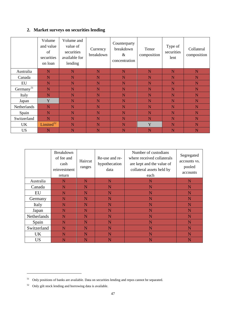## **2. Market surveys on securities lending**

|                       | Volume<br>and value<br>of<br>securities<br>on loan | Volume and<br>value of<br>securities<br>available for<br>lending | Currency<br>breakdown | Counterparty<br>breakdown<br>$\&$<br>concentration | Tenor<br>composition | Type of<br>securities<br>lent | Collateral<br>composition |
|-----------------------|----------------------------------------------------|------------------------------------------------------------------|-----------------------|----------------------------------------------------|----------------------|-------------------------------|---------------------------|
| Australia             | N                                                  | N                                                                | N                     | N                                                  | N                    | N                             | N                         |
| Canada                | N                                                  | N                                                                | N                     | N                                                  | N                    | N                             | N                         |
| EU                    | N                                                  | N                                                                | N                     | N                                                  | N                    | N                             | N                         |
| Germany <sup>51</sup> | N                                                  | N                                                                | N                     | N                                                  | N                    | N                             | N                         |
| Italy                 | N                                                  | N                                                                | N                     | N                                                  | N                    | N                             | $\mathbf N$               |
| Japan                 | Y                                                  | N                                                                | N                     | N                                                  | N                    | N                             | $\mathbf N$               |
| Netherlands           | N                                                  | N                                                                | N                     | N                                                  | N                    | N                             | N                         |
| Spain                 | N                                                  | N                                                                | N                     | N                                                  | N                    | N                             | N                         |
| Switzerland           | N                                                  | N                                                                | N                     | N                                                  | N                    | N                             | N                         |
| <b>UK</b>             | Limited <sup>52</sup>                              | N                                                                | N                     | N                                                  | Y                    | N                             | N                         |
| <b>US</b>             | N                                                  | N                                                                | N                     | N                                                  | N                    | N                             | N                         |

|             | <b>Breakdown</b><br>of fee and<br>cash<br>reinvestment<br>return | Haircut<br>ranges | Re-use and re-<br>hypothecation<br>data | Number of custodians<br>where received collaterals<br>are kept and the value of<br>collateral assets held by<br>each | Segregated<br>accounts vs.<br>pooled<br>accounts |
|-------------|------------------------------------------------------------------|-------------------|-----------------------------------------|----------------------------------------------------------------------------------------------------------------------|--------------------------------------------------|
| Australia   | N                                                                | N                 | N                                       | N                                                                                                                    | N                                                |
| Canada      | N                                                                | N                 | N                                       | N                                                                                                                    | N                                                |
| EU          | N                                                                | N                 | N                                       | N                                                                                                                    | N                                                |
| Germany     | N                                                                | N                 | N                                       | N                                                                                                                    | N                                                |
| Italy       | N                                                                | N                 | N                                       | N                                                                                                                    | N                                                |
| Japan       | N                                                                | N                 | N                                       | N                                                                                                                    | N                                                |
| Netherlands | N                                                                | N                 | N                                       | N                                                                                                                    | N                                                |
| Spain       | N                                                                | N                 | N                                       | N                                                                                                                    | N                                                |
| Switzerland | N                                                                | N                 | N                                       | N                                                                                                                    | N                                                |
| <b>UK</b>   | N                                                                | N                 | N                                       | N                                                                                                                    | N                                                |
| <b>US</b>   | Ñ                                                                | N                 | N                                       | N                                                                                                                    | N                                                |

<span id="page-50-0"></span><sup>51</sup> Only positions of banks are available. Data on securities lending and repos cannot be separated.

<span id="page-50-1"></span> $52$  Only gilt stock lending and borrowing data is available.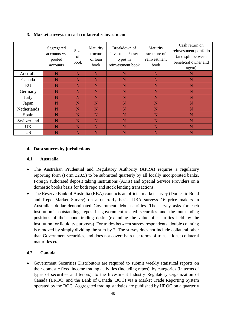|             | Segregated<br>accounts vs.<br>pooled<br>accounts | <b>Size</b><br>of<br>book | Maturity<br>structure<br>of loan<br><b>book</b> | Breakdown of<br>investment/asset<br>types in<br>reinvestment book | Maturity<br>structure of<br>reinvestment<br>book | Cash return on<br>reinvestment portfolio<br>(and split between<br>beneficial owner and<br>agent) |
|-------------|--------------------------------------------------|---------------------------|-------------------------------------------------|-------------------------------------------------------------------|--------------------------------------------------|--------------------------------------------------------------------------------------------------|
| Australia   | N                                                | N                         | N                                               | N                                                                 | N                                                | N                                                                                                |
| Canada      | N                                                | N                         | N                                               | N                                                                 | N                                                | N                                                                                                |
| EU          | N                                                | N                         | N                                               | N                                                                 | N                                                | N                                                                                                |
| Germany     | N                                                | N                         | N                                               | N                                                                 | N                                                | N                                                                                                |
| Italy       | N                                                | N                         | N                                               | N                                                                 | N                                                | N                                                                                                |
| Japan       | N                                                | N                         | N                                               | N                                                                 | N                                                | N                                                                                                |
| Netherlands | N                                                | N                         | N                                               | N                                                                 | N                                                | N                                                                                                |
| Spain       | N                                                | N                         | N                                               | N                                                                 | N                                                | N                                                                                                |
| Switzerland | N                                                | N                         | N                                               | N                                                                 | N                                                | N                                                                                                |
| UK          | N                                                | N                         | N                                               | N                                                                 | N                                                | N                                                                                                |
| <b>US</b>   | N                                                | N                         | N                                               | N                                                                 | N                                                | N                                                                                                |

#### **3. Market surveys on cash collateral reinvestment**

#### **4. Data sources by jurisdictions**

#### **4.1. Australia**

- The Australian Prudential and Regulatory Authority (APRA) requires a regulatory reporting form (Form 320.5) to be submitted quarterly by all locally incorporated banks, Foreign authorised deposit taking institutions (ADIs) and Special Service Providers on a domestic books basis for both repo and stock lending transactions.
- The Reserve Bank of Australia (RBA) conducts an official market survey (Domestic Bond and Repo Market Survey) on a quarterly basis. RBA surveys 16 price makers in Australian dollar denominated Government debt securities. The survey asks for each institution's outstanding repos in government-related securities and the outstanding positions of their bond trading desks (excluding the value of securities held by the institution for liquidity purposes). For trades between survey respondents, double counting is removed by simply dividing the sum by 2. The survey does not include collateral other than Government securities, and does not cover: haircuts; terms of transactions; collateral maturities etc.

#### **4.2. Canada**

• Government Securities Distributors are required to submit weekly statistical reports on their domestic fixed income trading activities (including repos), by categories (in terms of types of securities and tenors), to the Investment Industry Regulatory Organization of Canada (IIROC) and the Bank of Canada (BOC) via a Market Trade Reporting System operated by the BOC. Aggregated trading statistics are published by IIROC on a quarterly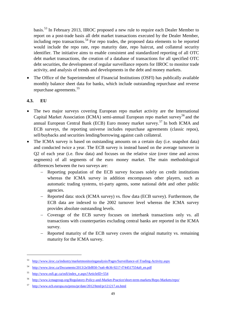basis.[53](#page-52-0) In February 2013, IIROC proposed a new rule to require each Dealer Member to report on a post-trade basis all debt market transactions executed by the Dealer Member, including repo transactions.<sup>[54](#page-52-1)</sup> For repo trades, the proposed data elements to be reported would include the repo rate, repo maturity date, repo haircut, and collateral security identifier. The initiative aims to enable consistent and standardized reporting of all OTC debt market transactions, the creation of a database of transactions for all specified OTC debt securities, the development of regular surveillance reports for IIROC to monitor trade activity, and analysis of trends and developments in the debt and money markets.

• The Office of the Superintendent of Financial Institutions (OSFI) has publically available monthly balance sheet data for banks, which include outstanding repurchase and reverse repurchase agreements.<sup>[55](#page-52-2)</sup>

### **4.3. EU**

- The two major surveys covering European repo market activity are the International Capital Market Association (ICMA) semi-annual European repo market survey<sup>[56](#page-52-3)</sup> and the annual European Central Bank (ECB) Euro money market survey.[57](#page-52-4) In both ICMA and ECB surveys, the reporting universe includes repurchase agreements (classic repos), sell/buybacks and securities lending/borrowing against cash collateral.
- The ICMA survey is based on outstanding amounts on a certain day (i.e. snapshot data) and conducted twice a year. The ECB survey is instead based on the average turnover in Q2 of each year (i.e. flow data) and focuses on the relative size (over time and across segments) of all segments of the euro money market. The main methodological differences between the two surveys are:
	- − Reporting population of the ECB survey focuses solely on credit institutions whereas the ICMA survey in addition encompasses other players, such as automatic trading systems, tri-party agents, some national debt and other public agencies.
	- − Reported data: stock (ICMA survey) vs. flow data (ECB survey). Furthermore, the ECB data are indexed to the 2002 turnover level whereas the ICMA survey provides absolute outstanding levels.
	- − Coverage of the ECB survey focuses on interbank transactions only vs. all transactions with counterparties excluding central banks are reported in the ICMA survey.
	- − Reported maturity of the ECB survey covers the original maturity vs. remaining maturity for the ICMA survey.

<span id="page-52-0"></span><sup>53</sup> <http://www.iiroc.ca/industry/marketmonitoringanalysis/Pages/Surveillance-of-Trading-Activity.aspx>

<span id="page-52-1"></span><sup>54</sup> [http://www.iiroc.ca/Documents/2013/2e5bf850-7ea6-4b36-9217-f744517554a9\\_en.pdf](http://www.iiroc.ca/Documents/2013/2e5bf850-7ea6-4b36-9217-f744517554a9_en.pdf)

<span id="page-52-2"></span><sup>55</sup> [http://www.osfi.gc.ca/osfi/index\\_e.aspx?ArticleID=554](http://www.osfi.gc.ca/osfi/index_e.aspx?ArticleID=554)

<span id="page-52-3"></span><sup>56</sup> <http://www.icmagroup.org/Regulatory-Policy-and-Market-Practice/short-term-markets/Repo-Markets/repo/>

<span id="page-52-4"></span><sup>57</sup> <http://www.ecb.europa.eu/press/pr/date/2012/html/pr121217.en.html>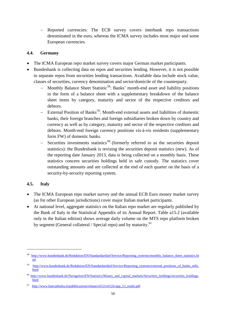Reported currencies: The ECB survey covers interbank repo transactions denominated in the euro, whereas the ICMA survey includes most major and some European currencies.

### **4.4. Germany**

- The ICMA European repo market survey covers major German market participants.
- Bundesbank is collecting data on repos and securities lending. However, it is not possible to separate repos from securities lending transactions. Available data include stock value, classes of securities, currency denomination and sector/domicile of the counterparty.
	- − Monthly Balance Sheet Statistic<sup>58</sup>: Banks' month-end asset and liability positions in the form of a balance sheet with a supplementary breakdown of the balance sheet items by category, maturity and sector of the respective creditors and debtors.
	- − External Position of Banks<sup>[59](#page-53-1)</sup>: Month-end external assets and liabilities of domestic banks, their foreign branches and foreign subsidiaries broken down by country and currency as well as by category, maturity and sector of the respective creditors and debtors. Month-end foreign currency positions vis-à-vis residents (supplementary form FW) of domestic banks.
	- − Securities investments statistics [60](#page-53-2) (formerly referred to as the securities deposit statistics): the Bundesbank is revising the securities deposit statistics (new). As of the reporting date January 2013, data is being collected on a monthly basis. These statistics concern securities holdings held in safe custody. The statistics cover outstanding amounts and are collected at the end of each quarter on the basis of a security-by-security reporting system.

## **4.5. Italy**

- The ICMA European repo market survey and the annual ECB Euro money market survey (as for other European jurisdictions) cover major Italian market participants.
- At national level, aggregate statistics on the Italian repo market are regularly published by the Bank of Italy in the Statistical Appendix of its Annual Report. Table a15.2 (available only in the Italian edition) shows average daily volume on the MTS repo platform broken by segment (General collateral / Special repo) and by maturity.<sup>[61](#page-53-3)</sup>

<span id="page-53-0"></span><sup>58</sup> [http://www.bundesbank.de/Redaktion/EN/Standardartikel/Service/Reporting\\_systems/monthly\\_balance\\_sheet\\_statistics.ht](http://www.bundesbank.de/Redaktion/EN/Standardartikel/Service/Reporting_systems/monthly_balance_sheet_statistics.html) [ml](http://www.bundesbank.de/Redaktion/EN/Standardartikel/Service/Reporting_systems/monthly_balance_sheet_statistics.html)

<span id="page-53-1"></span><sup>59</sup> [http://www.bundesbank.de/Redaktion/EN/Standardartikel/Service/Reporting\\_systems/external\\_positions\\_of\\_banks\\_mfis.](http://www.bundesbank.de/Redaktion/EN/Standardartikel/Service/Reporting_systems/external_positions_of_banks_mfis.%0bhtml) [html](http://www.bundesbank.de/Redaktion/EN/Standardartikel/Service/Reporting_systems/external_positions_of_banks_mfis.%0bhtml)

<span id="page-53-2"></span><sup>&</sup>lt;sup>60</sup> [http://www.bundesbank.de/Navigation/EN/Statistics/Money\\_and\\_capital\\_markets/Securities\\_holdings/securities\\_holdings.](http://www.bundesbank.de/Navigation/EN/Statistics/Money_and_capital_markets/Securities_holdings/securities_holdings.html) [html](http://www.bundesbank.de/Navigation/EN/Statistics/Money_and_capital_markets/Securities_holdings/securities_holdings.html)

<span id="page-53-3"></span><sup>61</sup> [http://www.bancaditalia.it/pubblicazioni/relann/rel12/rel12it/app\\_12\\_totale.pdf](http://www.bancaditalia.it/pubblicazioni/relann/rel12/rel12it/app_12_totale.pdf)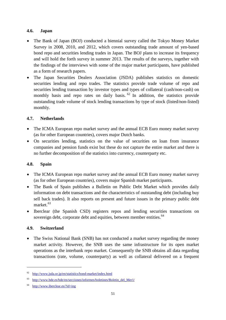#### **4.6. Japan**

- The Bank of Japan (BOJ) conducted a biennial survey called the Tokyo Money Market Survey in 2008, 2010, and 2012, which covers outstanding trade amount of yen-based bond repo and securities lending trades in Japan. The BOJ plans to increase its frequency and will hold the forth survey in summer 2013. The results of the surveys, together with the findings of the interviews with some of the major market participants, have published as a form of research papers.
- The Japan Securities Dealers Association (JSDA) publishes statistics on domestic securities lending and repo trades. The statistics provide trade volume of repo and securities lending transaction by investor types and types of collateral (cash/non-cash) on monthly basis and repo rates on daily basis.  $62 \text{ In }$  $62 \text{ In }$  addition, the statistics provide outstanding trade volume of stock lending transactions by type of stock (listed/non-listed) monthly.

#### **4.7. Netherlands**

- The ICMA European repo market survey and the annual ECB Euro money market survey (as for other European countries), covers major Dutch banks.
- On securities lending, statistics on the value of securities on loan from insurance companies and pension funds exist but these do not capture the entire market and there is no further decomposition of the statistics into currency, counterparty etc.

#### **4.8. Spain**

- The ICMA European repo market survey and the annual ECB Euro money market survey (as for other European countries), covers major Spanish market participants.
- The Bank of Spain publishes a Bulletin on Public Debt Market which provides daily information on debt transactions and the characteristics of outstanding debt (including buy sell back trades). It also reports on present and future issues in the primary public debt market.<sup>[63](#page-54-1)</sup>
- Iberclear (the Spanish CSD) registers repos and lending securities transactions on sovereign debt, corporate debt and equities, between member entities.<sup>[64](#page-54-2)</sup>

#### **4.9. Switzerland**

<u>.</u>

• The Swiss National Bank (SNB) has not conducted a market survey regarding the money market activity. However, the SNB uses the same infrastructure for its open market operations as the interbank repo market. Consequently the SNB obtains all data regarding transactions (rate, volume, counterparty) as well as collateral delivered on a frequent

<span id="page-54-0"></span><sup>62</sup> <http://www.jsda.or.jp/en/statistics/bond-market/index.html>

<span id="page-54-1"></span><sup>63</sup> [http://www.bde.es/bde/en/secciones/informes/boletines/Boletin\\_del\\_Mer1/](http://www.bde.es/bde/en/secciones/informes/boletines/Boletin_del_Mer1/)

<span id="page-54-2"></span><sup>64</sup> <http://www.iberclear.es/?id=ing>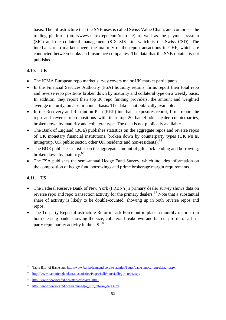basis. The infrastructure that the SNB uses is called Swiss Value Chain, and comprises the trading platform [\(http://www.eurexrepo.com/repo-en/\)](http://www.eurexrepo.com/repo-en/) as well as the payment system (SIC) and the collateral management (SIX SIS Ltd, which is the Swiss CSD). The interbank repo market covers the majority of the repo transactions in CHF, which are conducted between banks and insurance companies. The data that the SNB obtains is not published.

## **4.10. UK**

- The ICMA European repo market survey covers major UK market participants.
- In the Financial Services Authority (FSA) liquidity returns, firms report their total repo and reverse repo positions broken down by maturity and collateral type on a weekly basis. In addition, they report their top 30 repo funding providers, the amount and weighted average maturity, on a semi-annual basis. The data is not publically available.
- In the Recovery and Resolution Plan (RRP) interbank exposures report, firms report the repo and reverse repo positions with their top 20 bank/broker-dealer counterparties, broken down by maturity and collateral type. The data is not publically available.
- The Bank of England (BOE) publishes statistics on the aggregate repos and reverse repos of UK monetary financial institutions, broken down by counterparty types (UK MFIs, intragroup, UK public sector, other UK residents and non-residents).<sup>[65](#page-55-0)</sup>
- The BOE publishes statistics on the aggregate amount of gilt stock lending and borrowing, broken down by maturity.<sup>[66](#page-55-1)</sup>
- The FSA publishes the semi-annual Hedge Fund Survey, which includes information on the composition of hedge fund borrowings and prime brokerage margin requirements.

## **4.11. US**

- The Federal Reserve Bank of New York (FRBNY)'s primary dealer survey shows data on reverse repo and repo transaction activity for the primary dealers.<sup>[67](#page-55-2)</sup> Note that a substantial share of activity is likely to be double-counted, showing up in both reverse repos and repos.
- The Tri-party Repo Infrastructure Reform Task Force put in place a monthly report from both clearing banks showing the size, collateral breakdown and haircut profile of all tri-party repo market activity in the US.<sup>[68](#page-55-3)</sup>

<span id="page-55-0"></span><sup>65</sup> Table B1.4 of Bankstats[, http://www.bankofengland.co.uk/statistics/Pages/bankstats/current/default.aspx](http://www.bankofengland.co.uk/statistics/Pages/bankstats/current/default.aspx)

<span id="page-55-1"></span><sup>66</sup> [http://www.bankofengland.co.uk/statistics/Pages/iadb/notesiadb/gilt\\_repo.aspx](http://www.bankofengland.co.uk/statistics/Pages/iadb/notesiadb/gilt_repo.aspx)

<span id="page-55-2"></span><sup>67</sup> <http://www.newyorkfed.org/markets/statrel.html>

<span id="page-55-3"></span><sup>68</sup> [http://www.newyorkfed.org/banking/tpr\\_infr\\_reform\\_data.html](http://www.newyorkfed.org/banking/tpr_infr_reform_data.html)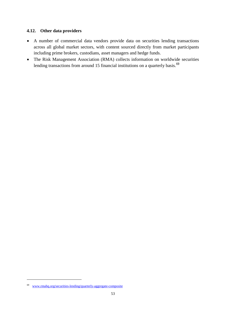#### **4.12. Other data providers**

- A number of commercial data vendors provide data on securities lending transactions across all global market sectors, with content sourced directly from market participants including prime brokers, custodians, asset managers and hedge funds.
- The Risk Management Association (RMA) collects information on worldwide securities lending transactions from around 15 financial institutions on a quarterly basis. $69$

<u>.</u>

<span id="page-56-0"></span><sup>69</sup> www.rmahq.org/securities-lending/quarterly-aggregate-composite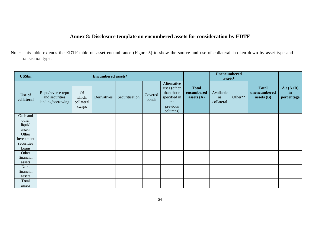## **Annex 8: Disclosure template on encumbered assets for consideration by EDTF**

Note: This table extends the EDTF table on asset encumbrance (Figure 5) to show the source and use of collateral, broken down by asset type and transaction type.

<span id="page-57-0"></span>

| <b>US\$bn</b>        | <b>Encumbered assets*</b>                                |                                            |             |                |                  |                                                                                         |                                            | <b>Unencumbered</b><br>assets* |         |                                              |                               |
|----------------------|----------------------------------------------------------|--------------------------------------------|-------------|----------------|------------------|-----------------------------------------------------------------------------------------|--------------------------------------------|--------------------------------|---------|----------------------------------------------|-------------------------------|
| Use of<br>collateral | Repo/reverse repo<br>and securities<br>lending/borrowing | <b>Of</b><br>which:<br>collateral<br>swaps | Derivatives | Securitisation | Covered<br>bonds | Alternative<br>uses (other<br>than those<br>specified in<br>the<br>previous<br>columns) | <b>Total</b><br>encumbered<br>assets $(A)$ | Available<br>as<br>collateral  | Other** | <b>Total</b><br>unencumbered<br>assets $(B)$ | $A/(A+B)$<br>in<br>percentage |
| Cash and             |                                                          |                                            |             |                |                  |                                                                                         |                                            |                                |         |                                              |                               |
| other                |                                                          |                                            |             |                |                  |                                                                                         |                                            |                                |         |                                              |                               |
| liquid               |                                                          |                                            |             |                |                  |                                                                                         |                                            |                                |         |                                              |                               |
| assets               |                                                          |                                            |             |                |                  |                                                                                         |                                            |                                |         |                                              |                               |
| Other                |                                                          |                                            |             |                |                  |                                                                                         |                                            |                                |         |                                              |                               |
| investment           |                                                          |                                            |             |                |                  |                                                                                         |                                            |                                |         |                                              |                               |
| securities           |                                                          |                                            |             |                |                  |                                                                                         |                                            |                                |         |                                              |                               |
| Loans                |                                                          |                                            |             |                |                  |                                                                                         |                                            |                                |         |                                              |                               |
| Other                |                                                          |                                            |             |                |                  |                                                                                         |                                            |                                |         |                                              |                               |
| financial            |                                                          |                                            |             |                |                  |                                                                                         |                                            |                                |         |                                              |                               |
| assets               |                                                          |                                            |             |                |                  |                                                                                         |                                            |                                |         |                                              |                               |
| Non-                 |                                                          |                                            |             |                |                  |                                                                                         |                                            |                                |         |                                              |                               |
| financial            |                                                          |                                            |             |                |                  |                                                                                         |                                            |                                |         |                                              |                               |
| assets               |                                                          |                                            |             |                |                  |                                                                                         |                                            |                                |         |                                              |                               |
| Total                |                                                          |                                            |             |                |                  |                                                                                         |                                            |                                |         |                                              |                               |
| assets               |                                                          |                                            |             |                |                  |                                                                                         |                                            |                                |         |                                              |                               |